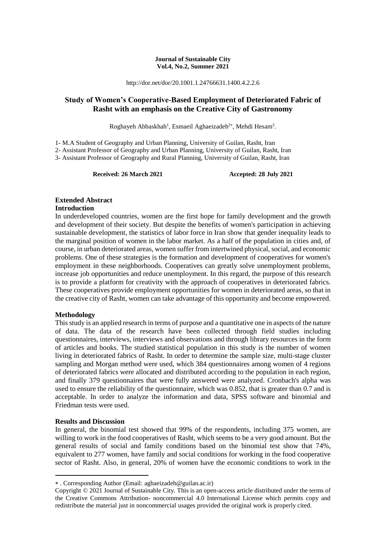#### **Journal of Sustainable City Vol.4, No.2, Summer 2021**

http://dor.net/dor/20.1001.1.24766631.1400.4.2.2.6

## **Study of Women's Cooperative-Based Employment of Deteriorated Fabric of Rasht with an emphasis on the Creative City of Gastronomy**

Roghayeh Abbaskhah<sup>1</sup>, Esmaeil Aghaeizadeh<sup>2\*</sup>, Mehdi Hesam<sup>3</sup>.

1- M.A Student of Geography and Urban Planning, University of Guilan, Rasht, Iran

2- Assistant Professor of Geography and Urban Planning, University of Guilan, Rasht, Iran

3- Assistant Professor of Geography and Rural Planning, University of Guilan, Rasht, Iran

**Received: 26 March 2021 Accepted: 28 July 2021** 

## **Extended Abstract**

## **Introduction**

In underdeveloped countries, women are the first hope for family development and the growth and development of their society. But despite the benefits of women's participation in achieving sustainable development, the statistics of labor force in Iran show that gender inequality leads to the marginal position of women in the labor market. As a half of the population in cities and, of course, in urban deteriorated areas, women suffer from intertwined physical, social, and economic problems. One of these strategies is the formation and development of cooperatives for women's employment in these neighborhoods. Cooperatives can greatly solve unemployment problems, increase job opportunities and reduce unemployment. In this regard, the purpose of this research is to provide a platform for creativity with the approach of cooperatives in deteriorated fabrics. These cooperatives provide employment opportunities for women in deteriorated areas, so that in the creative city of Rasht, women can take advantage of this opportunity and become empowered.

#### **Methodology**

This study is an applied research in terms of purpose and a quantitative one in aspects of the nature of data. The data of the research have been collected through field studies including questionnaires, interviews, interviews and observations and through library resources in the form of articles and books. The studied statistical population in this study is the number of women living in deteriorated fabrics of Rasht. In order to determine the sample size, multi-stage cluster sampling and Morgan method were used, which 384 questionnaires among women of 4 regions of deteriorated fabrics were allocated and distributed according to the population in each region, and finally 379 questionnaires that were fully answered were analyzed. Cronbach's alpha was used to ensure the reliability of the questionnaire, which was 0.852, that is greater than 0.7 and is acceptable. In order to analyze the information and data, SPSS software and binomial and Friedman tests were used.

#### **Results and Discussion**

**.** 

In general, the binomial test showed that 99% of the respondents, including 375 women, are willing to work in the food cooperatives of Rasht, which seems to be a very good amount. But the general results of social and family conditions based on the binomial test show that 74%, equivalent to 277 women, have family and social conditions for working in the food cooperative sector of Rasht. Also, in general, 20% of women have the economic conditions to work in the

. Corresponding Author (Email: aghaeizadeh@guilan.ac.ir)

Copyright © 2021 Journal of Sustainable City. This is an open-access article distributed under the terms of the Creative Commons Attribution- noncommercial 4.0 International License which permits copy and redistribute the material just in noncommercial usages provided the original work is properly cited.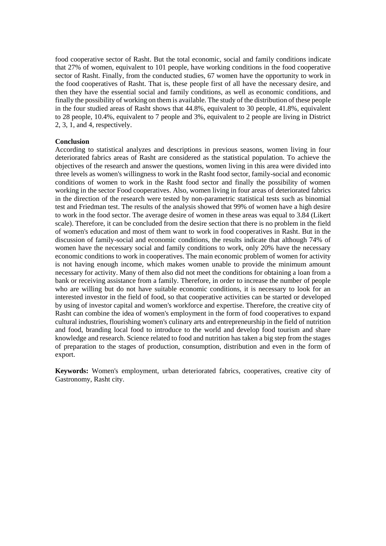food cooperative sector of Rasht. But the total economic, social and family conditions indicate that 27% of women, equivalent to 101 people, have working conditions in the food cooperative sector of Rasht. Finally, from the conducted studies, 67 women have the opportunity to work in the food cooperatives of Rasht. That is, these people first of all have the necessary desire, and then they have the essential social and family conditions, as well as economic conditions, and finally the possibility of working on them is available. The study of the distribution of these people in the four studied areas of Rasht shows that 44.8%, equivalent to 30 people, 41.8%, equivalent to 28 people, 10.4%, equivalent to 7 people and 3%, equivalent to 2 people are living in District 2, 3, 1, and 4, respectively.

#### **Conclusion**

According to statistical analyzes and descriptions in previous seasons, women living in four deteriorated fabrics areas of Rasht are considered as the statistical population. To achieve the objectives of the research and answer the questions, women living in this area were divided into three levels as women's willingness to work in the Rasht food sector, family-social and economic conditions of women to work in the Rasht food sector and finally the possibility of women working in the sector Food cooperatives. Also, women living in four areas of deteriorated fabrics in the direction of the research were tested by non-parametric statistical tests such as binomial test and Friedman test. The results of the analysis showed that 99% of women have a high desire to work in the food sector. The average desire of women in these areas was equal to 3.84 (Likert scale). Therefore, it can be concluded from the desire section that there is no problem in the field of women's education and most of them want to work in food cooperatives in Rasht. But in the discussion of family-social and economic conditions, the results indicate that although 74% of women have the necessary social and family conditions to work, only 20% have the necessary economic conditions to work in cooperatives. The main economic problem of women for activity is not having enough income, which makes women unable to provide the minimum amount necessary for activity. Many of them also did not meet the conditions for obtaining a loan from a bank or receiving assistance from a family. Therefore, in order to increase the number of people who are willing but do not have suitable economic conditions, it is necessary to look for an interested investor in the field of food, so that cooperative activities can be started or developed by using of investor capital and women's workforce and expertise. Therefore, the creative city of Rasht can combine the idea of women's employment in the form of food cooperatives to expand cultural industries, flourishing women's culinary arts and entrepreneurship in the field of nutrition and food, branding local food to introduce to the world and develop food tourism and share knowledge and research. Science related to food and nutrition has taken a big step from the stages of preparation to the stages of production, consumption, distribution and even in the form of export.

**Keywords:** Women's employment, urban deteriorated fabrics, cooperatives, creative city of Gastronomy, Rasht city.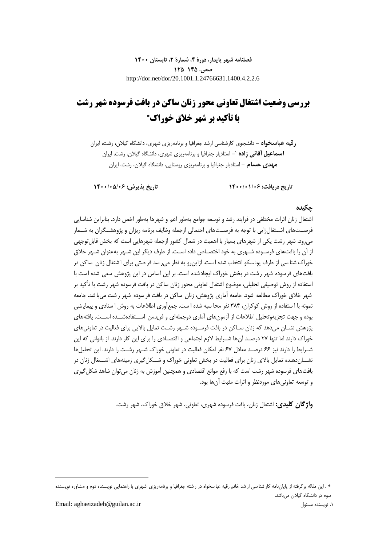**فصلنامه شهر پایدار، دورۀ ،4 شمارۀ ،2 تابستان 1400 صص. 125-145** http://dor.net/dor/20.1001.1.24766631.1400.4.2.2.6

# **بررسی وضعیت اشتغال تعاونی محور زنان ساکن در بافت فرسوده شهر رشت با تأکید بر شهر خالق خوراک**

**رقیه عباسخواه -** دانشجوی کارشناسی ارشد جغرافیا و برنامهریزی شهری، دانشگاه گیالن، رشت، ایران **-** استادیار جغرافیا و برنامهریزی شهری، دانشگاه گیالن، رشت، ایران <sup>1</sup> **اسماعیل آقائی زاده مهدی حسام -** استادیار جغرافیا و برنامهریزی روستایی، دانشگاه گیالن، رشت، ایران

**تاریخ دریافت: 1400/01/06 تاریخ پذیرش: 1400/05/06**

## **چکیده**

اشتغال زنان اثرات مختلفی در فرایند رشد و توسعه جوامع بهطور اعم و شهرها بهطور اخص دارد. بنابراین شناسایی فرصــتهای اشــتغالزایی با توجه به فرصــتهای احتمالی ازجمله وظایف برنامه ریزان و پژوهشــگران به شــمار میرود. شهر رشت یکی از شهرهای بسیار با اهمیت در شمال کشور ازجمله شهرهایی است که بخش قابلتوجهی از آن را بافتهای فرسـوده شـهری به خود اختصـاص داده اسـت. از طرف دیگر این شـهر بهعنوان شـهر خالق خوراک شنا سی از طرف یونسکو انتخاب شده ا ست. ازاینرو به نظر می ر سد فر صتی برای ا شتغال زنان ساکن در بافتهای فرسوده شهر رشت در بخش خوراک ایجادشده است. بر این اساس در این پژوهش سعی شده است با استفاده از روش توصیفی تحلیلی، موضوع اشتغال تعاونی محور زنان ساکن در بافت فرسوده شهر رشت با تأکید بر شهر خالق خوراک مطالعه شود. جامعه آماری پژوهش، زنان ساکن در بافت فر سوده شهر ر شت میبا شد. جامعه نمونه با ا ستفاده از روش کوکران، 384 نفر محا سبه شده ا ست. جمعآوری اطالعات به روش ا سنادی و پیمای شی بوده و جهت تجزیهوتحلیل اطالعات از آزمونهای آماری دوجملهای و فریدمن اســتفادهشــده اســت. یافتههای پژوهش نشـان میدهد که زنان سـاکن در بافت فرســوده شــهر رشــت تمایل باالیی برای فعالیت در تعاونیهای خوراک دارند اما تنها 27 درصـد آنها شــرایط الزم اجتماعی و اقتصــادی را برای این کار دارند. از بانوانی که این شـرایط را دارند نیز 66 درصـد معادل 67 نفر امکان فعالیت در تعاونی خوراک شـهر رشـت را دارند. این تحلیلها نشــاندهنده تمایل باالی زنان برای فعالیت در بخش تعاونی خوراک و شــکلگیری زمینههای اشــتغال زنان در بافتهای فرسوده شهر رشت است که با رفع موانع اقتصادی و همچنین آموزش به زنان می توان شاهد شکل گیری و توسعه تعاونیهای موردنظر و اثرات مثبت آنها بود.

**واژگان کلیدی:** اشتغال زنان، بافت فرسوده شهری، تعاونی، شهر خالق خوراک، شهر رشت.

1

<sup>\* .</sup> این مقاله برگرفته از پایاننامه کار شنا سی ار شد خانم رقیه با سخواه در ر شته جغرافیا و برنامهریزی شهری با راهنمایی نویسنده دوم و مشاوره نویسنده سوم در دانشگاه گیالن میباشد.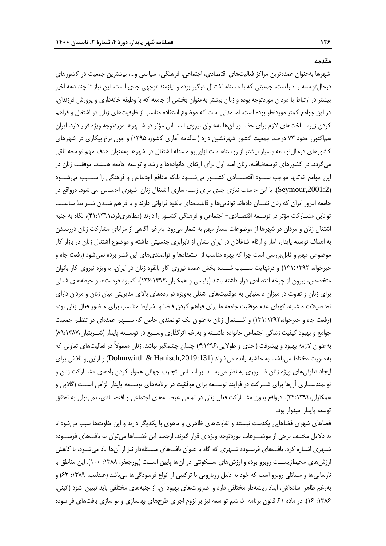**مقدمه**

شهرها بهعنوان عمدهترین مراکز فعالیتهای اقتصادی، اجتماعی، فرهنگی، سیا سی و…، بیشترین جمعیت در کشورهای درحالتو سعه را دارا ست، جمعیتی که با م سئله ا شتغال درگیر بوده و نیازمند توجهی جدی ا ست. این نیاز تا چند دهه اخیر بیشتر در ارتباط با مردان موردتوجه بوده و زنان بیشتر بهعنوان بخشی از جامعه که با وظیفه خانهداری و پرورش فرزندان، در این جوامع کمتر موردنظر بوده است. اما مدتی است که موضوع استفاده مناسب از ظرفیتهای زنان در اشتغال و فراهم کردن زیرســاختهای الزم برای حضــور آنها بهعنوان نیروی انســانی مؤثر در شــهرها موردتوجه ویژه قرار دارد. ایران هماکنون حدود 73 درصد جمعیت کشور شهرنشین دارد )سالنامه آماری کشور، 1395( و چون نرخ بیکاری در شهرهای کشورهای درحالتو سعه بسیار بیشتر از رو ستاها ست ازاینرو مسئله ا شتغال در شهرها بهعنوان هدف مهم تو سعه تلقی میگردد. در کشورهای توسعهنیافته، زنان امید اول برای ارتقای خانوادهها و رشد و توسعه جامعه هستند. موفقیت زنان در این جوامع نهتنها موجب ســـود اقتصـــادی کشـــور میشـــود بلکه منافع اجتماعی و فرهنگی را ســـبب میشـــود ),2001:2Seymour). با این ح ساب نیازی جدی برای زمینه سازی ا شتغال زنان شهری اح ساس می شود. درواقع در جامعه امروز ایران که زنان نشــان دادهاند تواناییها و قابلیتهای بالقوه فراوانی دارند و با فراهم شــدن شــرایط مناســب توانایی مشـارکت مؤثر در توسـعه اقتصـادی- اجتماعی و فرهنگی کشـور را دارند )مظاهریفرد41:1391،(، نگاه به جنبه اشتغال زنان و مردان در شهرها از موضوعات بسیار مهم به شمار میرود. بهرغم آگاهی از مزایای مشارکت زنان دررسیدن به اهداف توسعه پایدار، آمار و ارقام شاغالن در ایران نشان از نابرابری جنسیتی داشته و موضوع اشتغال زنان در بازار کار موضوعی مهم و قابلبررسی است چرا که بهره مناسب از استعدادها و توانمندیهای این قشر برده نمیشود )رفعت جاه و خیرخواه، 131:1392( و درنهایت ســـبب شـــده بخش عمده نیروی کار بالقوه زنان در ایران، بهویژه نیروی کار بانوان متخصص، بیرون از چرخه اقتصادی قرار داشته باشد (رئیسی و همکاران،۱۳۶:۱۳۹۲). کمبود فرصتها و حیطههای شغلی برای زنان و تفاوت در میزان د ستیابی به موقعیتهای شغلی بهویژه در ردههای باالی مدیریتی میان زنان و مردان دارای تح صیالت م شابه، گویای عدم موفقیت جامعه ما برای فراهم کردن ف ضا و شرایط منا سب برای ح ضور فعال زنان بوده )رفعت جاه و خیرخواه131:1392،( و اشـــتغال زنان بهعنوان یک توانمندی خاص که ســـهم عمدهای در تنظیم جمعیت جوامع و بهبود کیفیت زندگی اجتماعی خانواده داشــته و بهرغم اثرگذاری وســیع در توســعه پایدار )شــربتیان89:1387،( بهعنوان الزمه بهبود و پیشرفت )احدی و طوالیی4:1396،( چندان چشمگیر نباشد. زنان معموالً در فعالیتهای تعاونی که بهصورت مختلط میباشد، به حاشیه رانده میشوند ),2019:131Hanisch & Dohmwirth )و ازاینرو تالش برای ایجاد تعاونیهای ویژه زنان ضــروری به نظر میرســد. بر اســاس تجارب جهانی هموار کردن راههای مشــارکت زنان و توانمندســازی آنها برای شــرکت در فرایند توســعه برای موفقیت در برنامههای توســعه پایدار الزامی اســت )گالبی و همکاران24:1392،(. درواقع بدون مشــارکت فعال زنان در تمامی عرصــههای اجتماعی و اقتصــادی، نمیتوان به تحقق توسعه پایدار امیدوار بود.

فضاهای شهری فضاهایی یکدست نیستند و تفاوتهای ظاهری و ماهوی با یکدیگر دارند و این تفاوتها سبب میشود تا به دالیل مختلف برخی از موضــوعات موردتوجه ویژهای قرار گیرند. ازجمله این فضــاها میتوان به بافتهای فرســوده شـهری اشـاره کرد. بافتهای فرسـوده شـهری که گاه با عنوان بافتهای مسـئلهدار نیز از آنها یاد میشـود، با کاهش ارزشهای محیطزیســت روبرو بوده و ارزشهای ســکونتی در آنها پایین اســت (پورجعفر، ۱۳۸۸: ۱۰۰). این مناطق با نارساییها و مسائلی روبرو است که خود به دلیل رویارویی با ترکیبی از انواع فرسودگیها میباشد (عندلیب، ۱۳۸۹: ۶۲) و بهرغم ظاهر سادهاش، ابعاد ری شهدار مختلفی دارد و ضرورتهای بهبود آن، از جنبههای مختلفی باید تبیین شود )آئینی، ۱۳۸۶: ۱۶). در ماده ۶۱ قانون برنامه ششم تو سعه نیز بر لزوم اجرای طرحهای به سازی و نو سازی بافتهای فر سوده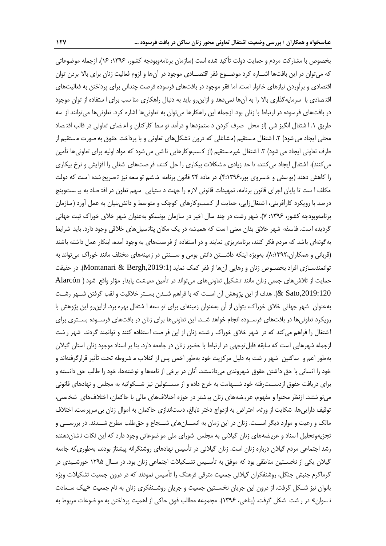بخصوص با مشارکت مردم و حمایت دولت تأکید شده است )سازمان برنامهوبودجه کشور، :1396 16(. ازجمله موضوعاتی که میتوان در این بافتها اشــاره کرد موضــوع فقر اقتصــادی موجود در آنها و لزوم فعالیت زنان برای باال بردن توان اقتصادی و برآوردن نیازهای خانوار است. اما فقر موجود در بافتهای فرسوده فرصت چندانی برای پرداختن به فعالیتهای اقت صادی با سرمایهگذاری باال را به آنها نمیدهد و ازاینرو باید به دنبال راهکاری منا سب برای ا ستفاده از توان موجود در بافتهای فرسوده در ارتباط با زنان بود. ازجمله این راهکارها میتوان به تعاونیها اشاره کرد. تعاونیها میتوانند از سه طریق .1 ا شتغال انگیز شی )از محل صرف کردن د ستمزدها و درآمد تو سط کارکنان و اع ضای تعاونی در قالب اقت صاد محلی ایجاد می شود) ۲. اشتغال مستقیم (مشاغلی که درون تشکلهای تعاونی و با پرداخت حقوق به صورت مستقیم از طرف تعاونی ایجاد می شود) ۳. اشتغال غیرمستقیم (از کسبوکارهایی نا شی می شود که مواد اولیه برای تعاونیها تأمین میکنند)، ا شتغال ایجاد میکنند، تا حد زیادی مشکلات بیکاری را حل کنند، فر صتهای شغلی را افزایش و نرخ بیکاری را کاهش دهند (یو سفی و خسروی پور،۱۳۹۶-۴). در ماده ۲۴ قانون برنامه ششم تو سعه نیز تصریح شده ا ست که دولت مکلف ا ست تا پایان اجرای قانون برنامه، تمهیدات قانونی الزم را جهت د ستیابی سهم تعاون در اقت صاد به بی ستوپنج در صد با رویکرد کارآفرینی، اشتغال;ایی، حمایت از کسبوکارهای کوچک و متوسط و دانش بنیان به عمل آورد (سازمان برنامهوبودجه کشور، :1396 7(. شهر رشت در چند سال اخیر در سازمان یونسکو بهعنوان شهر خالق خوراک ثبت جهانی گردیده ا ست. فلسفه شهر خلاق بدان معنی ا ست که همیشه در یک مکان پتانسیلهای خلاقی وجود دارد. باید شرایط بهگونهای باشد که مردم فکر کنند، برنامهریزی نمایند و در استفاده از فرصتهای به وجود آمده، ابتکار عمل داشته باشند (قربانی و همکاران،۱۳۹۲،(). بهویژه اینکه داشــتن دانش بومی و ســـنتی در زمینههای مختلف مانند خوراک میتواند به توانمندسـازی افراد بخصـوص زنان و رهایی آنها از فقر کمک نماید (Montanari & Bergh,2019:1). در حقیقت حمایت از تالشهای جمعی زنان مانند ت شکیل تعاونیهای میتواند در تأمین معی شت پایدار مؤثر واقع شود ) Alarcón ,2019:120Sato)& . هدف از این پژوهش آن اســت که با فراهم شــدن بســتر خالقیت و لقب گرفتن شــهر رشــت بهعنوان شهر جهانی خالق خوراک، بتوان از آن بهعنوان زمینهای برای تو سعه ا شتغال بهره برد. ازاینرو این پژوهش با رویکرد تعاونیها در بافتهای فرســوده انجام خواهد شــد. این تعاونیها برای زنان در بافتهای فرســوده بســتری برای ا شتغال را فراهم میکند که در شهر خالق خوراک ر شت، زنان از این فر صت ا ستفاده کنند و توانمند گردند. شهر ر شت ازجمله شهرهایی است که سابقه قابلتوجهی در ارتباط با حضور زنان در جامعه دارد. بنا بر اسناد موجود زنان استان گیالن بهطور اعم و ساکنین شهر ر شت به دلیل مرکزیت خود بهطور اخص پس از انقالب م شروطه تحت تأثیر قرارگرفتهاند و خود را انسانی با حقِ داشتن حقوق شهروندی میدانستند. آنان در برخی از نامهها و نوشتهها، خود را طالب حق دانسته و برای دریافت حقوق ازدســترفته خود شــهامت به خرج داده و از مســئولین نیز شــکوائیه به مجلس و نهادهای قانونی مینو شتند. ازنظر محتوا و مفهوم، عری ضههای زنان بی شتر در حوزه اختالفهای مالی با حاکمان، اختالفهای شخ صی، توقیف داراییها، شکایت از ورثه، اعتراض به ازدواج دختر نابالغ، دستاندازی حاکمان به اموال زنان بیسرپرست، اختالف مالک و رعیت و موارد دیگر اســت. زنان در این زمان به انســانهای شــجاع و حقطلب مطرح شــدند. در بررســی و تجزیهوتحلیل ا سناد و عری ضههای زنان گیالنی به مجلس شورای ملی مو ضوعاتی وجود دارد که این نکات ن شاندهنده رشد اجتماعی مردم گیالن درباره زنان است. زنان گیالنی در تأسیس نهادهای روشنگرانه پیشتاز بودند، بهطوریکه جامعه گیالن یکی از نخسـتین مناطقی بود که موفق به تأسـیس تشـکیالت اجتماعی زنان بود. در سـال 1295 خورشـیدی در گرماگرم جنبش جنگل، روشنفکران گیالنی جمعیت مترقی فرهنگ را تأسیس نمودند که در درون جمعیت تشکیالت ویژه بانوان نیز شــکل گرفت. از درون این جریان نخســتین جمعیت و جریان روشــنفکری زنان به نام جمعیت »پیک ســعادت ن سوان» در ر شت شکل گرفت. (پناهی، ۱۳۹۶). مجموعه مطالب فوق حاکی از اهمیت پرداختن به مو ضوعات مربوط به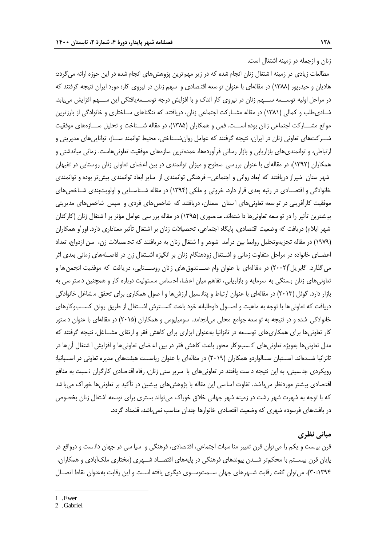زنان و ازجمله در زمینه اشتغال است. مطالعات زیادی در زمینه ا شتغال زنان انجام شده که در زیر مهمترین پژوهشهای انجام شده در این حوزه ارائه میگردد: هادیان و حیدرپور )1388( در مقالهای با عنوان تو سعه اقت صادی و سهم زنان در نیروی کار: مورد ایران نتیجه گرفتند که در مراحل اولیه توســـعه ســـهم زنان در نیروی کار اندک و با افزایش درجه توســـعهیافتگی این ســـهم افزایش مییابد. شـادیطلب و کمالی )1381( در مقاله مشـارکت اجتماعی زنان، دریافتند که تنگناهای سـاختاری و خانوادگی از بارزترین موانع مشـــارکت اجتماعی زنان بوده اســـت. فمی و همکاران )1385(، در مقاله شـــناخت و تحلیل ســـازههای موفقیت شــرکتهای تعاونی زنان در ایران، نتیجه گرفتند که عوامل روانشــناختی، محیط توانمند ســاز، تواناییهای مدیریتی و ارتباطی، و توانمندیهای بازاریابی و بازار رسانی فرآوردهها، عمدهترین سازههای موفقیت تعاونیهاست. زمانی میاندشتی و همکاران )1392(، در مقالهای با عنوان بررسی سطوح و میزان توانمندی در بین اعضای تعاونی زنان روستایی در تفیهان شهر ستان شیراز دریافتند که ابعاد روانی و اجتماعی- فرهنگی توانمندی از سایر ابعاد توانمندی بیشتر بوده و توانمندی خانوادگی و اقتصـادی در رتبه بعدی قرار دارد. خروتی و ملکی (۱۳۹۴) در مقاله شــناسـایی و اولویتبندی شــاخصهای موفقیت کارآفرینی در تو سعه تعاونیهای ا ستان سمنان، دریافتند که شاخصهای فردی و سپس شاخصهای مدیریتی بی شترین تأثیر را در تو سعه تعاونیها دا شتهاند. من صوری )1395( در مقاله برر سی عوامل مؤثر بر ا شتغال زنان )کارکنان شهر ایلام) دریافت که وضعیت اقتصادی، پایگاه اجتماعی، تحصیلات زنان بر اشتغال تأثیر معناداری دارد. اور ٰو همکاران )1979( در مقاله تجزیهوتحلیل روابط بین درآمد شوهر و ا شتغال زنان به دریافتند که تح صیالت زن، سن ازدواج، تعداد اعضـای خانواده در مراحل متفاوت زمانی و اشـتغال زودهنگام زنان بر انگیزه اشـتغال زن در فاصـلههای زمانی بعدی اثر می گذارد. گابریل ۲۰۰۲) در مقالهای با عنوان وام صـــندوق های زنان روســـتایی، دریافت که موفقیت انجمن ها و تعاونیهای زنان بستگی به سرمایه و بازاریابی، تفاهم میان اعضا، احساس مسئولیت درباره کار و همچنین دستر سی به بازار دارد. گوئل )2013( در مقالهای با عنوان ارتباط و پتان سیل ارزشها و ا صول همکاری برای تحقق م شاغل خانوادگی دریافت که تعاونیها با توجه به ماهیت و اصــول داوطلبانه خود باعث گســترش اشــتغال از طریق رونق کســبوکارهای خانوادگی شده و در نتیجه به تو سعه جوامع محلی میانجامد. سومیلیوس و همکاران )2015( در مقالهای با عنوان د ستور کار تعاونیها برای همکاریهای توســعه در تانزانیا بهعنوان ابزاری برای کاهش فقر و ارتقای مشــاغل، نتیجه گرفتند که مدل تعاونیها بهویژه تعاونیهای ک سبوکار محور باعث کاهش فقر در بین اع ضای تعاونیها و افزایش ا شتغال آنها در تانزانیا شــدهاند. اســتبان ســالواردو همکاران )2019( در مقالهای با عنوان ریاســت هیئتهای مدیره تعاونی در اســپانیا: رویکردی جن سیتی، به این نتیجه د ست یافتند در تعاونیهای با سرپر ستی زنان، رفاه اقت صادی کارگران ن سبت به منافع اقتصادی بی شتر موردنظر میباشد. تفاوت اساسی این مقاله با پژوهشهای پی شین در تأکید بر تعاونیها خوراک میباشد که با توجه به شهرت شهر رشت در زمینه شهر جهانی خلاق خوراک میتواند بستری برای توسعه اشتغال زنان بخصوص در بافتهای فرسوده شهری که وضعیت اقتصادی خانوارها چندان مناسب نمیباشد، قلمداد گردد.

## **مبانی نظری**

قرن بی ست و یکم را میتوان قرن تغییر منا سبات اجتماعی، اقت صادی، فرهنگی و سیا سی در جهان دان ست و درواقع در پایان قرن بیســتم با محکمتر شــدن پیوندهای فرهنگی در پایههای اقتصــاد شــهری )مختاری ملکآبادی و همکاران، 30:1394(، میتوان گفت رقابت شــهرهای جهان ســمتوســوی دیگری یافته اســت و این رقابت بهعنوان نقاط اتصــال

1

<sup>1</sup> . Ewer

<sup>2</sup> . Gabriel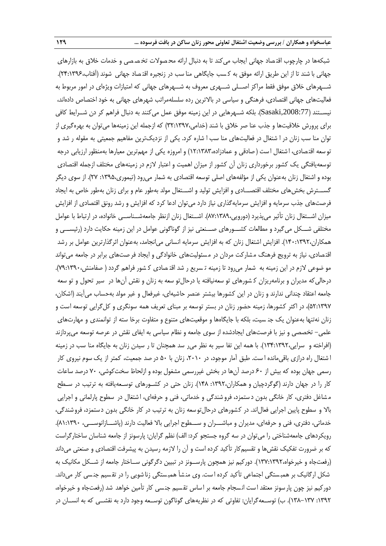شبکهها در چارچوب اقتـصاد جهانی ایجاب می کند تا به دنبال ارائه محـصولات تخـصـصی و خدمات خلاق به بازارهای جهانی با شند تا از این طریق ارائه موفق به کسب جایگاهی منا سب در زنجیره اقتـصاد جهانی شوند (آفتاب،۱۳۹۶-۲۴:۱ شــهرهای خالق موفق فقط مراکز اصــلی شــهری معروف به شــهرهای جهانی که امتیازات ویژهای در امور مربوط به فعالیتهای جهانی اقتصادی، فرهنگی و سیاسی در باالترین رده سلسلهمراتب شهرهای جهانی به خود اختصاص دادهاند، نیســتند ),2008:77Sasaki). بلکه شــهرهایی در این زمینه موفق عمل میکنند به دنبال فراهم کر دن شــرایط کافی برای پرورش خالقیتها و جذب عنا صر خالق با شند )خدامی32:1397،( که ازجمله این زمینهها میتوان به بهرهگیری از توان منا سب زنان در ا شتغال در فعالیتهای منا سب ا شاره کرد. یکی از نزدیکترین مفاهیم جمعیتی به مقوله ر شد و تو سعه اقتصادی، ا شتغال ا ست ( صادقی و عمادزاده،۱۲:۱۳۸۳) و امروزه یکی از مهمترین معیارها بهمنظور ارزیابی درجه توسعهیافتگی یک کشور برخورداری زنان آن کشور از میزان اهمیت و اعتبار الزم در زمینههای مختلف ازجمله اقتصادی بوده و اشتغال زنان بهعنوان یکی از مؤلفههای اصلی توسعه اقتصادی به شمار میرود )تیموری:1395، 27(. از سوی دیگر گســـترش بخشهای مختلف اقتصـــادی و افزایش تولید و اشـــتغال مولد بهطور عام و برای زنان بهطور خاص به ایجاد فرصتهای جذب سرمایه و افزایش سرمایهگذاری نیاز دارد میتوان ادعا کرد که افزایش و رشد رونق اقتصادی از افزایش میزان اشــتغال زنان تأثیر میپذیرد )دورویی87:1389،(. اشــتغال زنان ازنظر جامعهشــناســی خانواده، در ارتباط با عوامل مختلفی شــکل میگیرد و مطالعات کشــورهای صــنعتی نیز از گوناگونی عوامل در این زمینه حکایت دارد )رئیســی و همکاران140:1392،(. افزایش اشتغال زنان که به افزایش سرمایه انسانی میانجامد، بهعنوان اثرگذارترین عوامل بر رشد اقت صادی، نیاز به ترویج فرهنگ م شارکت مردان در م سئولیتهای خانوادگی و ایجاد فر صتهای برابر در جامعه میتواند مو ضوعی الزم در این زمینه به شمار میرود تا زمینه ت سریع ر شد اقت صادی ک شور فراهم گردد ) صفامنش79:1390،(. درحالیکه مدیران و برنامهریزان ک شورهای تو سعهنیافته یا درحالتو سعه به زنان و نقش آنها در سیر تحول و تو سعه جامعه اعتقاد چندانی ندارند و زنان در این کشورها بیشتر عنصر حاشیهای، غیرفعال و غیر مولد بهحساب میآیند )اشکان، ۵۲:۱۳۹۷)، در اکثر کشورها، زمینه حضور زنان در بستر توسعه بر مبنای تعریف همه سونگری و کل $\xi$ رایی توسعه است و زنان نهتنها بهعنوان یک جن سیت، بلکه با جایگاهها و موقعیتهای متنوع و متفاوت برخا سته از توانمندی و مهارتهای علمی- تخصصی و نیز با فرصتهای ایجادشده از سوی جامعه و نظام سیاسی به ایفای نقش در عرصه توسعه میپردازند )افراخته و سرایی134:1392،(. با همه این تفا سیر به نظر میر سد همچنان تا ر سیدن زنان به جایگاه منا سب در زمینه ا شتغال راه درازی باقیمانده ا ست. طبق آمار موجود، در ،2010 زنان با 50 در صد جمعیت، کمتر از یک سوم نیروی کار رسمی جهان بوده که بیش از 60 درصد آنها در بخش غیررسمی مشغول بوده و ازلحاظ سختکوشی، 70 درصد ساعات کار را در جهان دارند (گوگردچیان و همکاران،۱۳۹۲: ۱۴۸). زنان حتی در کشـورهای توسـعهیافته به ترتیب در سـطح م شاغل دفتری، کار خانگی بدون د ستمزد، فرو شندگی و خدماتی، فنی و حرفهای، ا شتغال در سطوح پارلمانی و اجرایی باال و سطوح پایین اجرایی فعالاند. در کشورهای درحالتوسعه زنان به ترتیب در کار خانگی بدون دستمزد، فروشندگی، خدماتی، دفتری، فنی و حرفهای، مدیران و مباشـــران و ســـطوح اجرایی باال فعالیت دارند )پاشـــازانوســـی، 81:1390(. رویکردهای جامعهشناختی را میتوان در سه گروه جستجو کرد: الف) نظم گرایان: پارسونز از جامعه شناسان ساختارگراست که بر ضرورت تفکیک نقشها و تقسیمکار تأکید کرده است و آن را الزمه رسیدن به پیشرفت اقتصادی و صنعتی میداند )رفعتجاه و خیرخواه137:1392،(. دورکیم نیز همچون پارســونز در تبیین دگرگونی ســاختار جامعه از شــکل مکانیک به شکل ارگانیک بر همبستگی اجتماعی تأکید کرده است. وی منشأ همبستگی زنا شویی را در تقسیم جنسی کار میداند. دورکیم نیز چون پار سونز معتقد است انسجام جامعه بر اساس تقسیم جنسی کار تأمین خواهد شد (رفعتجاه و خیرخواه، :1392 138-137(. ب( توســعهگرایان: تفاوتی که در نظریههای گوناگون توســعه وجود دارد به نقشــی که به انســان در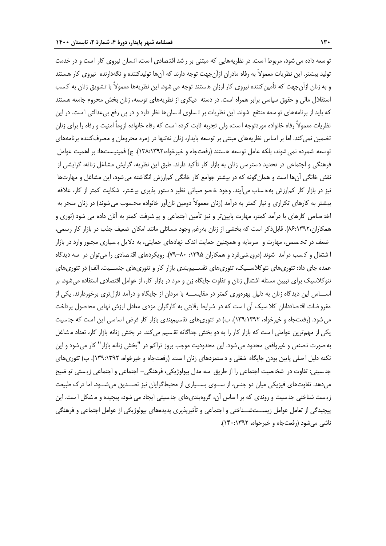تو سعه داده می شود، مربوط ا ست. در نظریههایی که مبتنی بر ر شد اقت صادی ا ست، ان سان نیروی کار ا ست و در خدمت تولید بیشتر. این نظریات معموالً به رفاه مادران ازآنجهت توجه دارند که آنها تولیدکننده و نگهدارنده نیروی کار هستند و به زنان ازآنجهت که تأمینکننده نیروی کار ارزان هستند توجه می شود. این نظریهها معمولاً با تشویق زنان به کسب استقالل مالی و حقوق سیاسی برابر همراه است. در دسته دیگری از نظریههای توسعه، زنان بخش محروم جامعه هستند که باید از برنامههای تو سعه منتفع شوند. این نظریات بر ت ساوی ان سانها نظر دارد و در پی رفع بیعدالتی ا ست. در این نظریات معموالً رفاه خانواده موردتوجه ا ست، ولی تجربه ثابت کرده ا ست که رفاه خانواده لزوماً امنیت و رفاه را برای زنان تضمین نمیکند. اما بر اساس نظریههای مبتنی بر توسعه پایدار، زنان نهتنها در زمره محرومان و مصرفکننده برنامههای توسعه شمرده نمی شوند، بلکه عامل توسعه هستند (رفعتجاه و خیرخواه،١٣٨:١٣٩٢). ج) فمینیستها: بر اهمیت عوامل فرهنگی و اجتماعی در تحدید دسترسی زنان به بازار کار تأکید دارند. طبق این نظریه، گرایش مشاغل زنانه، گرایشی از نقش خانگی آنها است و همانگونه که در بیشتر جوامع کار خانگی کمارزش انگاشته میشود، این مشاغل و مهارتها نیز در بازار کار کمارزش بهح ساب میآیند. وجود خ صو صیاتی نظیر د ستور پذیری بی شتر، شکایت کمتر از کار، عالقه بیشتر به کارهای تکراری و نیاز کمتر به درآمد (زنان معمولاً دومین نانآور خانواده محسوب می شوند) در زنان منجر به اخت صاص کارهای با درآمد کمتر، مهارت پایینتر و نیز تأمین اجتماعی و پی شرفت کمتر به آنان داده می شود )نوری و همکاران،۱۳۹۲:۶٪). قابلذکر است که بخشی از زنان بهرغم وجود مسائلی مانند امکان ضعیف جذب در بازار کار رسمی، ضعف در تخ صص، مهارت و سرمایه و همچنین حمایت اندک نهادهای حمایتی، به دالیل ب سیاری مجبور وارد در بازار ا شتغال و ک سب درآمد شوند )دروی شیفرد و همکاران :1395 79-80(. رویکردهای اقت صادی را میتوان در سه دیدگاه عمده جای داد: تئوریهای نئوکلاســیک، تئوریهای تقســیم.بندی بازار کار و تئوریهای جنســیت. الف) در تئوریهای نئوکالسیک برای تبیین مسئله اشتغال زنان و تفاوت جایگاه زن و مرد در بازار کار، از عوامل اقتصادی استفاده میشود. بر اســـاس این دیدگاه زنان به دلیل بهرهوری کمتر در مقایســـه با مردان از جایگاه و درآمد نازلتری برخوردارند. یکی از مفرو ضات اقت صاددانان کال سیک آن ا ست که در شرایط رقابتی به کارگران مزدی معادل ارزش نهایی مح صول پرداخت می شود. (رفعتجاه و خیرخواه، ۱۳۹:۱۳۹۲). ب) در تئوری های تقسیمبندی بازار کار فرض اساسی این است که جنسیت یکی از مهمترین عواملی ا ست که بازار کار را به دو بخش جداگانه تق سیم میکند. در بخش زنانه بازار کار، تعداد م شاغل بهصورت تصنعی و غیرواقعی محدود میشود. این محدودیت موجب بروز تراکم در "بخش زنانه بازار" کار میشود و این نکته دلیل ا صلی پایین بودن جایگاه شغلی و د ستمزدهای زنان است. (رفعتجاه و خیرخواه، ۱۳۹:۱۳۹۲). پ) تئوریهای جن سیتی: تفاوت در شخ صیت اجتماعی را از طریق سه مدل بیولوژیکی، فرهنگی- اجتماعی و اجتماعی زی ستی تو ضی میدهد. تفاوتهای فیزیکی میان دو جنس، از ســوی بســیاری از محیطگرایان نیز تصــدیق میشــود. اما درک طبیعت زی ست شناختی جن سیت و روندی که بر ا ساس آن، گروهبندیهای جن سیتی ایجاد می شود، پیچیده و م شکل ا ست. این پیچیدگی از تعامل عوامل زیســتشــناختی و اجتماعی و تأثیرپذیری پدیدههای بیولوژیکی از عوامل اجتماعی و فرهنگی ناشی میشود )رفعتجاه و خیرخواه، 140:1392(.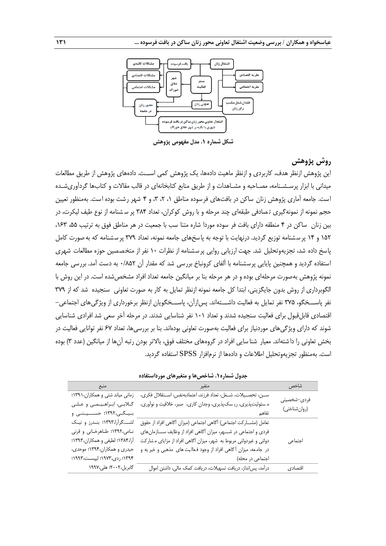

**شکل شماره .1 مدل مفهومی پژوهش**

## **روش پژوهش**

این پژوهش ازنظر هدف، کاربردی و ازنظر ماهیت دادهها، یک پژوهش کمی اســت. دادههای پژوهش از طریق مطالعات میدانی با ابزار پرسـشـنامه، مصـاحبه و مشـاهدات و از طریق منابع کتابخانهای در قالب مقاالت و کتابها گردآوریشـده است. جامعه آماری پژوهش زنان ساکن در بافتهای فرسوده مناطق ،1 ،2 ،3 و 4 شهر رشت بوده است. بهمنظور تعیین حجم نمونه از نمونهگیری ت صادفی طبقهای چند مرحله و با روش کوکران، تعداد 384 پر س شنامه از نوع طیف لیکرت، در بین زنان ساکن در 4 منطقه دارای بافت فر سوده موردا شاره متنا سب با جمعیت در هر مناطق فوق به ترتیب ،55 ،163 ۱۵۲ و ۱۴ پر سشنامه توزیع گردید. درنهایت با توجه به پاسخهای جامعه نمونه، تعداد ۳۷۹ پر سشنامه که بهصورت کامل پاسخ داده شد، تجزیهوتحلیل شد. جهت ارزیابی روایی پرسشنامه از نظرات ۱۰ نفر از متخصصین حوزه مطالعات شهری استفاده گردید و همچنین پایایی پرسشنامه با آلفای کرونباخ بررسی شد که مقدار آن 0/852 به دست آمد. بررسی جامعه نمونه پژوهش بهصورت مرحلهای بوده و در هر مرحله بنا بر میانگین جامعه تعداد افراد مشخصشده است. در این روش با الگوبرداری از روش بدون جایگزینی، ابتدا کل جامعه نمونه ازنظر تمایل به کار به صورت تعاونی سنجیده شد که از 379 نفر پاســـخگو، 375 نفر تمایل به فعالیت داشـــتهاند. پسازآن، پاســـخگویان ازنظر برخورداری از ویژگیهای اجتماعی- اقتصادی قابلقبول برای فعالیت سنجیده شدند و تعداد 101 نفر شناسایی شدند. در مرحله آخر سعی شد افرادی شناسایی شوند که دارای ویژگیهای موردنیاز برای فعالیت بهصورت تعاونی بودهاند. بنا بر بررسیها، تعداد 67 نفر توانایی فعالیت در بخش تعاونی را دا شتهاند. معیار شنا سایی افراد در گروههای مختلف فوق، باالتر بودن رتبه آنها از میانگین )عدد 3( بوده است. بهمنظور تجزیهوتحلیل اطالعات و دادهها از نرمافزار SPSS استفاده گردید.

| منبع                            | متغير                                                             | شاخص         |
|---------------------------------|-------------------------------------------------------------------|--------------|
| زمانی میاند شتی و همکاران،١٣٩١؛ | سـن، تحصـيلات، شـغل، تعداد فرزند، اعتمادبهنفس، اسـتقلال فكرى،     | فردى–شخصيتى  |
| گلابی، ابراهیمی و علی           | مسئولیتپذیری، ریسکپذیری، وجدان کاری، صبر، خلاقیت و نوآوری،        |              |
| بیگی،۱۳۹۲؛ حسینی و              | تفاهم                                                             | (روانشناختی) |
| لشــگرارا،١٣٩٣؛ بندرز و نيک     | تعامل (مشــاركت اجتماعي) أگاهي اجتماعي (ميزان أگاهي افراد از حقوق |              |
| نامی،۱۳۹۲؛ طاهرخانی و قرنی      | فردی و اجتماعی در شـــهر، میزان آگاهی افراد از وظایف ســـازمانهای |              |
| آرا،۱۳۸۴؛ لطیفی و همکاران،۱۳۹۳؛ | دولتی و غیردولتی مربوط به شهر، میزان آگاهی افراد از مزایای مشارکت | اجتماعى      |
| حیدری و همکاران،۱۳۹۴؛ موحدی،    | در جامعه، میزان آگاهی افراد از وجود فعالیت های مذهبی و خیریه و    |              |
| ۱۳۹۴؛ ردی،۱۹۷۳؛ لیپست،۱۹۹۳؛     | اجتماعی در محله)                                                  |              |
| گابريل،۲۰۰۲؛ هلي،۱۹۹۷           | درآمد، پسانداز، دریافت تسهیلات، دریافت کمک مالی، داشتن اموال      | اقتصادى      |

**جدول شماره.1 شاخصها و متغیرهای مورداستفاده**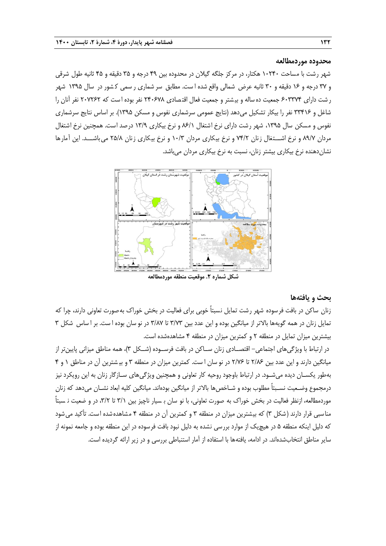**محدوده موردمطالعه**

شهر رشت با مساحت 10240 هکتار، در مرکز جلگه گیالن در محدوده بین 49 درجه و 35 دقیقه و 45 ثانیه طول شرقی و 37 درجه و 16 دقیقه و 30 ثانیه عرض شمالی واقع شده ا ست. مطابق سر شماری ر سمی ک شور در سال 1395 شهر ر شت دارای ۶۰۳۳۷۴ جمعیت ده ساله و بیشتر و جمعیت فعال اقتصادی ۲۴۰۶۷۸ نفر بوده است که ۲۰۷۲۶۲ نفر آنان را شاغل و ۳۳۴۱۶ نفر را بیکار تشکیل میدهد (نتایج عمومی سرشماری نفوس و مسکن ۱۳۹۵). بر اساس نتایج سرشماری نفوس و مسکن سال ۱۳۹۵، شهر رشت دارای نرخ اشتغال ۶/۱/۱ و نرخ بیکاری ۱۳/۹ درصد است. همچنین نرخ اشتغال مردان 89/7 و نرخ اشـــتغال زنان 74/2 و نرخ بیکاری مردان 10/3 و نرخ بیکاری زنان 25/8 میباشـــد. این آمارها نشاندهنده نرخ بیکاری بیشتر زنان، نسبت به نرخ بیکاری مردان میباشد.



**شکل شماره .2 موقعیت منطقه موردمطالعه**

#### **بحث و یافتهها**

زنان ساکن در بافت فرسوده شهر رشت تمایل نسبتاً خوبی برای فعالیت در بخش خوراک بهصورت تعاونی دارند، چرا که تمایل زنان در همه گویهها بالاتر از میانگین بوده و این عدد بین ۳/۷۳ تا ۳/۸۷ در نو سان بوده ا ست. بر ا ساس شکل ۳ بیشترین میزان تمایل در منطقه 2 و کمترین میزان در منطقه 4 مشاهدهشده است.

در ارتباط با ویژگیهای اجتماعی- اقتصــادی زنان ســاکن در بافت فرســوده )شــکل 3(، همه مناطق میزانی پایینتر از میانگین دارند و این عدد بین 2/86 تا 2/76 در نو سان ا ست. کمترین میزان در منطقه 3 و بی شترین آن در مناطق 1 و 4 بهطور یکسـان دیده میشـود. در ارتباط باوجود روحیه کار تعاونی و همچنین ویژگیهای سـازگار زنان به این رویکرد نیز درمجموع وضـعیت نسـبتاً مطلوب بوده و شـاخصها باالتر از میانگین بودهاند. میانگین کلیه ابعاد نشـان میدهد که زنان موردمطالعه، ازنظر فعالیت در بخش خوراک به صورت تعاونی، با نو سان ب سیار ناچیز بین ٣/١ تا ٣/٢، در و ضعیت ن سبتاً مناسبی قرار دارند (شکل ۳) که بیشترین میزان در منطقه ۳ و کمترین آن در منطقه ۴ مشاهدهشده است. تأکید می شود که دلیل اینکه منطقه 5 در هیچیک از موارد بررسی نشده به دلیل نبود بافت فرسوده در این منطقه بوده و جامعه نمونه از سایر مناطق انتخابشدهاند. در ادامه، یافتهها با استفاده از آمار استنباطی بررسی و در زیر ارائه گردیده است.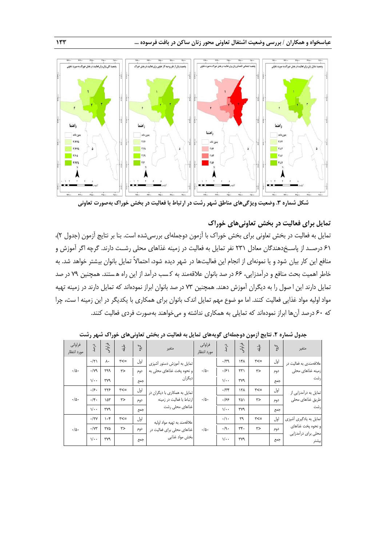

**شکل شماره .3 وضعیت ویژگیهای مناطق شهر رشت در ارتباط با فعالیت در بخش خوراک بهصورت تعاونی**

### **تمایل برای فعالیت در بخش تعاونیهای خوراک**

تمایل به فعالیت در بخش تعاونی برای بخش خوراک با آزمون دوجملهای بررسیشده است. بنا بر نتایج آزمون (جدول ۲)، 61 درصــد از پاســ دهندگان معادل 231 نفر تمایل به فعالیت در زمینه غذاهای محلی رشــت دارند. گرچه اگر آموزش و منافع این کار بیان شود و یا نمونهای از انجام این فعالیتها در شهر دیده شود، احتماالً تمایل بانوان بیشتر خواهد شد. به خاطر اهمیت بحث منافع و درآمدزایی، 66 در صد بانوان عالقهمند به ک سب درآمد از این راه ه ستند. همچنین 79 در صد تمایل دارند این ا صول را به دیگران آموزش دهند. همچنین 73 در صد بانوان ابراز نمودهاند که تمایل دارند در زمینه تهیه مواد اولیه مواد غذایی فعالیت کنند. اما مو ضوع مهم تمایل اندک بانوان برای همکاری با یکدیگر در این زمینه ا ست، چرا که 60 درصد آنها ابراز نمودهاند که تمایلی به همکاری نداشته و میخواهند بهصورت فردی فعالیت کنند.

|                        | .                          |           |                  |                       | . .                          |                        |                            |                            | . <i>.</i> . |              |                                          |     |
|------------------------|----------------------------|-----------|------------------|-----------------------|------------------------------|------------------------|----------------------------|----------------------------|--------------|--------------|------------------------------------------|-----|
| فراواني<br>مورد انتظار | درصد                       | فراواتى   | رليق             | $\zeta^{\varepsilon}$ | متغير                        | فراوانى<br>مورد انتظار | دره                        | فراوانه                    | ڮ؞           | $\zeta_{66}$ | متغير                                    |     |
|                        | $\cdot/\tau$               | ٨٠        | $\tau$ $\lt$ $=$ | اول                   | تمایل به آموزش دستور آشپزی   |                        | $\cdot$ /۳۹                | ۱۴۸                        | $r ==$       | اول          | علاقهمندی به فعالیت در                   |     |
| $\cdot/\Delta$ .       | $\cdot$ /yq                | ٣٩٩       | ٣>               | دوم                   | و نحوه پخت غذاهای محلی به    | $\cdot/\Delta$         | .99                        | $\mathsf{r}\mathsf{r}$     | ٣>           | دوم          | زمینه غذاهای محلی                        |     |
|                        | $\sqrt{\cdot \cdot \cdot}$ | ٣٧٩       |                  | جمع                   | ديگران                       |                        |                            | $\sqrt{\cdot \cdot \cdot}$ | ٣٧٩          |              | جمع                                      | رشت |
|                        | .49.                       | ۲۲۶       | $\tau$ $\lt$ $=$ | اول                   | تمایل به همکاری با دیگران در |                        | $\cdot$ /٣۴                | ١٢٨                        | $r ==$       | اول          | تمایل به درآمدزایی از                    |     |
| $\cdot/\Delta$ .       | $.$ /۴.                    | ۱۵۳       | ٣>               | دوم                   | ارتباط با فعالیت در زمینه    | $\cdot/\Delta$         | ۱۶۶                        | ۲۵۱                        | ٣>           | دوم          | اطريق غذاهاي محلى                        |     |
|                        | $\sqrt{\cdot \cdot \cdot}$ | ٣٧٩       |                  | جمع                   | غذاهاي محلي رشت              |                        | $\sqrt{\cdot \cdot \cdot}$ | ٣٧٩                        |              | جمع          | رشت                                      |     |
|                        | $\cdot$ /۲۷                | $\cdot$ ۴ | $\tau$ $\lt$ $=$ | اول                   | علاقهمند به تهيه مواد اوليه  |                        | $\cdot/\rangle$ .          | ٣٩                         | $r ==$       | اول          | تمایل به یادگیری آشپزی                   |     |
| $\cdot/\Delta$ .       | $\cdot/\Upsilon$           | ٢٧۵       | ٣>               | دوم                   | غذاهای محلی برای فعالیت در   | $\cdot/\Delta$ .       | .9.                        | rr.                        | ٣>           | دوم          | و نحوه پخت غذاهای<br>محلى براى درآمدزايي |     |
|                        | $\sqrt{\cdot \cdot \cdot}$ | ٣٧٩       |                  | جمع                   | بخش مواد غذايي               |                        | $\sqrt{\cdot \cdot }$      | ٣٧٩                        |              | جمع          | يشتر                                     |     |

**جدول شماره .2 نتایج آزمون دوجملهای گویههای تمایل به فعالیت در بخش تعاونیهای خوراک شهر رشت**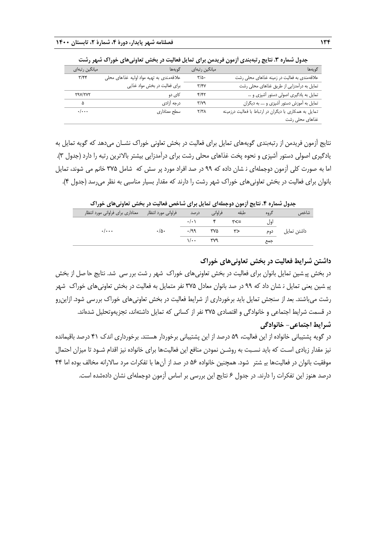| میانگین رتبهای     | گويەھا                                   | میانگین رتبهای | گويەھا                                                |
|--------------------|------------------------------------------|----------------|-------------------------------------------------------|
| $\tau/\tau\tau$    | علاقهمندي به تهيه مواد اوليه غذاهاي محلي | $\frac{1}{2}$  | علاقهمندی به فعالیت در زمینه غذاهای محلی رشت          |
|                    | برای فعالیت در بخش مواد غذایی            | $\tau/\tau$    | تمایل به درآمدزایی از طریق غذاهای محلی رشت            |
| <b>TAV/TVT</b>     | کای دو                                   | ۴/۴۲           | تمایل به یادگیری اصولی دستور آشپزی و                  |
| ۵                  | درجه آزادى                               | ۳/۷۹           | تمایل به آموزش دستور آشپزی و  به دیگران               |
| $\cdot/\cdot\cdot$ | سطح معناداري                             | Y/Y            | تمایل به همکاری با دیگران در ارتباط با فعالیت درزمینه |
|                    |                                          |                | غذاهای محلی رشت                                       |

جدول شماره **۳.** نتایج رتبهبندی آزمون فریدمن برای تمایل فعالیت در بخش تعاونیهای خوراک شهر رشت

نتایج آزمون فریدمن از رتبهبندی گویههای تمایل برای فعالیت در بخش تعاونی خوراک نشـان میدهد که گویه تمایل به یادگیری اصولی دستور آشپزی و نحوه پخت غذاهای محلی رشت برای درآمدزایی بیشتر بالاترین رتبه را دارد (جدول ۳). اما به صورت کلی آزمون دوجملهای ن شان داده که 99 در صد افراد مورد پر سش که شامل 375 خانم می شوند، تمایل بانوان برای فعالیت در بخش تعاونیهای خوراک شهر رشت را دارند که مقدار بسیار مناسبی به نظر میرسد )جدول 4(.

**جدول شماره .4 نتایج آزمون دوجملهای تمایل برای شاخص فعالیت در بخش تعاونیهای خوراک** 

|                                                               |                |                            |            |       |       | .           |
|---------------------------------------------------------------|----------------|----------------------------|------------|-------|-------|-------------|
| ِ فراوانی مورد انتظار       معناداری برای فراوانی مورد انتظار |                | در صد                      | فراوانى    | طبقه  | کر وہ | شاخص        |
|                                                               |                |                            |            | マー マー | اول   |             |
| $\cdot$ / $\cdot$ $\cdot$                                     | $\cdot/\Delta$ | .199                       | ۳۷۵        | ۳>    | دوم   | داشتن تمایل |
|                                                               |                | $\sqrt{\cdot \cdot \cdot}$ | <b>TV9</b> |       | جمع   |             |
|                                                               |                |                            |            |       |       |             |

**داشتن شرایط فعالیت در بخش تعاونیهای خوراک**

در بخش پی شین تمایل بانوان برای فعالیت در بخش تعاونیهای خوراک شهر ر شت برر سی شد. نتایج حا صل از بخش پی شین یعنی تمایل ن شان داد که 99 در صد بانوان معادل 375 نفر متمایل به فعالیت در بخش تعاونیهای خوراک شهر رشت میباشند. بعد از سنجش تمایل باید برخورداری از شرایط فعالیت در بخش تعاونیهای خوراک بررسی شود. ازاینرو در قسمت شرایط اجتماعی و خانوادگی و اقتصادی 375 نفر از کسانی که تمایل داشتهاند، تجزیهوتحلیل شدهاند. **شرایط اجتماعی- خانوادگی**

در گویه پشتیبانی خانواده از این فعالیت، 59 درصد از این پشتیبانی برخوردار هستند. برخورداری اندک 41 درصد باقیمانده نیز مقدار زیادی اسـت که باید نسـبت به روشـن نمودن منافع این فعالیتها برای خانواده نیز اقدام شـود تا میزان احتمال موفقیت بانوان در فعالیتها بی شتر شود. همچنین خانواده 56 در صد از آنها با تفکرات مرد ساالرانه مخالف بوده اما 44 درصد هنوز این تفکرات را دارند. در جدول 6 نتایج این بررسی بر اساس آزمون دوجملهای نشان دادهشده است.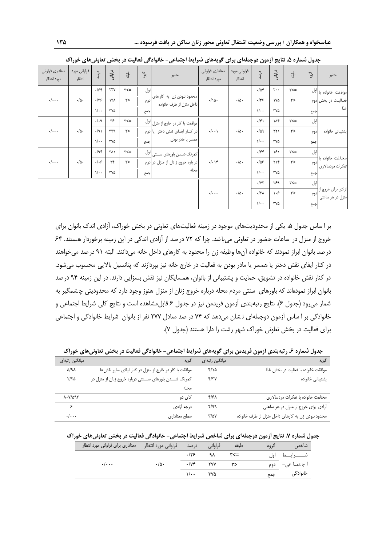| معناداري فراواني<br>مورد انتظار | فراواني مورد<br>انتظار | درصد                       | فراواني      | ڮ                | $\frac{1}{2}$ | متغير                                                 | معناداري فراواني<br>مورد انتظار | فراوانی مورد<br>انتظار | درصد                       | فراواني                    | ېلقه             | گوه                        | متغير                                  |      |                              |        |     |                                       |
|---------------------------------|------------------------|----------------------------|--------------|------------------|---------------|-------------------------------------------------------|---------------------------------|------------------------|----------------------------|----------------------------|------------------|----------------------------|----------------------------------------|------|------------------------------|--------|-----|---------------------------------------|
|                                 |                        | .154                       | ٢٣٧          | $\tau$ $\lt$ $=$ | اول           |                                                       |                                 |                        | .708                       | $\mathbf{y}$               | $\tau$ $\lt$ $=$ |                            | اموافقت خانواده با <mark>ا</mark> ول   |      |                              |        |     |                                       |
| $\cdot/\cdot\cdot$              | $\cdot/\Delta$ .       | .175                       | ۱۳۸          | ٣>               | دوم           | محدود نبودن زن به کار های<br>داخل منزل از طرف خانواده | $\cdot/\Delta$ .                | $\cdot/\Delta$ .       | .155                       | ١٧۵                        | r                |                            | فعـاليـت در بخش دوم                    |      |                              |        |     |                                       |
|                                 |                        | $\sqrt{\cdot \cdot \cdot}$ | ۳۷۵          |                  | جمع           |                                                       |                                 |                        |                            |                            |                  | $\sqrt{\cdot \cdot \cdot}$ | ۳۷۵                                    |      | جمع                          | غذا    |     |                                       |
|                                 |                        | .4.9                       | ۳۶           | $\tau$ $\lt$ $=$ |               | موافقت با کار در خارج از منزل  <sup> ول</sup>         |                                 |                        | $\cdot$ /۴۱                | ۱۵۴                        | $\tau$ $\leq$    | اول                        |                                        |      |                              |        |     |                                       |
| $\cdot/\cdot\cdot$              | $\cdot/\Delta$ .       | $\cdot$ /9)                | ٣٣٩          | ٣>               |               | در كنار ايفاى نقش دختر يا دوم                         | $\cdot/\cdot\cdot$              | $\cdot/\Delta$ .       | .709                       | $\uparrow\uparrow\uparrow$ | $\tau$           | دوم                        | پشتيبانى خانواده                       |      |                              |        |     |                                       |
|                                 |                        | $\sqrt{\cdot \cdot \cdot}$ | ۳۷۵          |                  | جمع           | همسر يا مادر بودن                                     |                                 |                        | $\sqrt{\cdot \cdot \cdot}$ | ٣٧۵                        |                  | جمع                        |                                        |      |                              |        |     |                                       |
|                                 |                        | .49                        | ۳۵۱          | $r ==$           |               | اکمرنگ شــدن باورهاي ســنتي <mark>ا</mark> لول        |                                 |                        | $\cdot$ /۴۴                | ۱۶۱                        | $\tau$ $\lt$ $=$ | اول                        |                                        |      |                              |        |     |                                       |
| $\cdot/\cdot\cdot$              | $\cdot/\Delta$ .       | $.  .$ ۶                   | $\mathbf{r}$ | ٣>               |               | در باره خروج ز نان از منزل در دوم                     |                                 |                        |                            |                            |                  | $\cdot/\cdot$ \۴           | $\cdot/\Delta$ .                       | .185 | $\uparrow \uparrow \uparrow$ | $\tau$ | دوم | مخالفت خانواده با<br>تفكرات مردسالارى |
|                                 |                        | $\sqrt{\cdot \cdot \cdot}$ | ۳۷۵          |                  | جمع           | محله                                                  |                                 |                        | $\sqrt{\cdot \cdot \cdot}$ | ٣٧۵                        |                  | جمع                        |                                        |      |                              |        |     |                                       |
|                                 |                        |                            |              |                  |               |                                                       |                                 |                        | $\cdot/\gamma\gamma$       | ٣۶٩                        | $\tau$ $=$       | اول                        |                                        |      |                              |        |     |                                       |
|                                 |                        |                            |              |                  |               |                                                       | $\cdot/\cdot\cdot$              | $\cdot/\Delta$ .       | $\cdot/\tau\Lambda$        | ۱۰۶                        | r                | دوم                        | أزادي براي خروج از<br>منزل در هر ساعتی |      |                              |        |     |                                       |
|                                 |                        |                            |              |                  |               |                                                       |                                 |                        | $\sqrt{\cdot \cdot \cdot}$ | ٣٧۵                        |                  | جمع                        |                                        |      |                              |        |     |                                       |

| جدول شماره ۵. نتایج ازمون دوجملهای برای گویههای شرایط اجتماعی- خانوادگی فعالیت در بخش تعاونیهای خوراک |  |  |
|-------------------------------------------------------------------------------------------------------|--|--|
|-------------------------------------------------------------------------------------------------------|--|--|

بر ا ساس جدول ۵، یکی از محدودیتهای موجود در زمینه فعالیتهای تعاونی در بخش خوراک، آزادی اندک بانوان برای خروج از منزل در ساعات حضور در تعاونی میباشد. چرا که 72 درصد از آزادی اندکی در این زمینه برخوردار هستند. 64 درصد بانوان ابراز نمودند که خانواده آنها وظیفه زن را محدود به کارهای داخل خانه میدانند. البته 91 درصد میخواهند در کنار ایفای نقش دختر یا همسر یا مادر بودن به فعالیت در خارج خانه نیز بپردازند که پتانسیل باالیی محسوب میشود. در کنار نقش خانواده در تشویق، حمایت و پشتیبانی از بانوان، همسایگان نیز نقش بسزایی دارند. در این زمینه 94 درصد بانوان ابراز نمودهاند که باورهای سنتی مردم محله درباره خروج زنان از منزل هنوز وجود دارد که محدودیتی چ شمگیر به شمار میرود (جدول ۶). نتایج رتبهبندی آزمون فریدمن نیز در جدول ۶ قابل۵شاهده است و نتایج کلی شرایط اجتماعی و خانوادگی بر ا ساس آزمون دوجملهای ن شان میدهد که 74 در صد معادل 277 نفر از بانوان شرایط خانوادگی و اجتماعی برای فعالیت در بخش تعاونی خوراک شهر رشت را دارا هستند )جدول 7(.

| جدول شماره ۶. رتبهبندی ازمون فریدمن برای گویههای شرایط اجتماعی- خانوادگی فعالیت در بخش تعاونیهای خوراک |  |  |
|--------------------------------------------------------------------------------------------------------|--|--|
|--------------------------------------------------------------------------------------------------------|--|--|

| میانگین رتبهای                  | گويه                                                   | میانگین رتبها <i>ی</i> | گويه                                              |
|---------------------------------|--------------------------------------------------------|------------------------|---------------------------------------------------|
| 5/91                            | موافقت با كار در خارج از منزل در كنار ايفاى ساير نقشها | ۲/۱۵                   | موافقت خانواده با فعالیت در بخش غذا               |
| $Y/Y$ ۵                         | کمرنگ شــدن باورهای ســنتی درباره خروج زنان از منزل در | Y/YY                   | یشتیبانی خانواده                                  |
|                                 | محله                                                   |                        |                                                   |
| $\lambda$ . $V/\Delta$ 95       | کای دو                                                 | ۴۱۶۸                   | مخالفت خانواده با تفكرات مردسالارى                |
| ء                               | درجه آزادى                                             | ۳/۹۹                   | آزادی برای خروج از منزل در هر ساعتی               |
| $\cdot$ $\cdot$ $\cdot$ $\cdot$ | سطح معناداري                                           | $\frac{1}{2}$          | محدود نبودن زن به كارهاى داخل منزل از طرف خانواده |

|  | جدول شماره ۷. نتایج ازمون دوجملهای برای شاخص شرایط اجتماعی- خانوادگی فعالیت در بخش تعاونیهای خوراک |  |  |  |  |  |  |  |  |  |  |  |  |
|--|----------------------------------------------------------------------------------------------------|--|--|--|--|--|--|--|--|--|--|--|--|
|--|----------------------------------------------------------------------------------------------------|--|--|--|--|--|--|--|--|--|--|--|--|

| فراواني مورد انتظار معناداري براي فراواني مورد انتظار |                | فراوانی درصد                           |      | طبقه          | گ وه | ر شاخص <del>س</del> |
|-------------------------------------------------------|----------------|----------------------------------------|------|---------------|------|---------------------|
|                                                       |                | $\cdot$ /۲۶                            | ۹۸ - | <b>۳&lt;=</b> | اهل. | شـــــــــرايـــــط |
| $\cdot$ / $\cdot$ $\cdot$                             | $\cdot/\Delta$ | $\cdot$ / $\vee$ $\cdot$ $\vee$ $\vee$ |      | $r$ >         |      | اجتماعی- دوم        |
|                                                       |                | $\sqrt{1 + \cdot \cdot \cdot}$         |      |               |      | خانوادگی جمع        |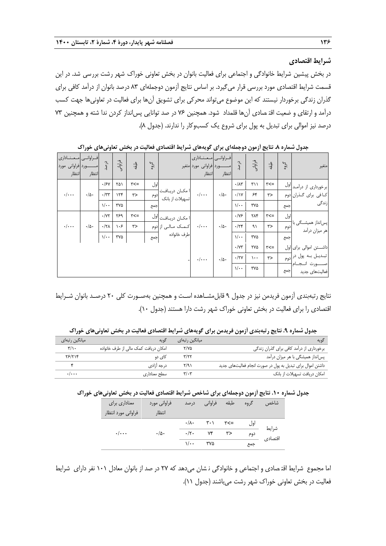#### **شرایط اقتصادی**

در بخش پیشین شرایط خانوادگی و اجتماعی برای فعالیت بانوان در بخش تعاونی خوراک شهر رشت بررسی شد. در این قسمت شرایط اقتصادی مورد بررسی قرار میگیرد. بر اساس نتایج آزمون دوجملهای 83 درصد بانوان از درآمد کافی برای گذران زندگی برخوردار نیستند که این موضوع میتواند محرکی برای تشویق آنها برای فعالیت در تعاونیها جهت کسب درآمد و ارتقای و ضعیت اقت صادی آنها قلمداد شود. همچنین 76 در صد توانایی پسانداز کردن ندا شته و همچنین 73 درصد نیز اموالی برای تبدیل به پول برای شروع یک کسبوکار را ندارند. (جدول ٨).

| معنادارى<br>ـورد فراوانی مورد<br>انتظار | فراوانس<br>انتظار | درصد                       | فراوانی | ىلىقە      | $\zeta^{\zeta_{\mathsf{c}}}$ |                                        | معنادارى<br>ــورد فراواني مورد متغير<br>انتظار | فراوانس<br>انتظار | درصد                       | فراوانی  | ڮ؞               | $\zeta$ 60 | متغير                                    |
|-----------------------------------------|-------------------|----------------------------|---------|------------|------------------------------|----------------------------------------|------------------------------------------------|-------------------|----------------------------|----------|------------------|------------|------------------------------------------|
|                                         |                   | .15Y                       | ۲۵۱     | $\tau$ $=$ | اول                          |                                        |                                                |                   | $\cdot/\lambda$ ۳          | ۳۱۱      | $\tau$ $\lt$ $=$ |            | ابر خورداری از درآمـد  <sup> ول</sup>    |
| $\cdot/\cdot\cdot$                      | $\cdot/\Delta$ .  | $\cdot$ /٣٣                | 156     | ٣>         | ادوم                         | ا مكـان دريـافـت<br>تسهیلات از بانک    | $\cdot/\cdots$                                 | $\cdot/\Delta$ .  | $\cdot/\gamma$             | ۶۴       | ٣>               |            | کـافي براي گـذران دوم                    |
|                                         |                   | $\sqrt{\cdot \cdot \cdot}$ | ٣٧۵     |            | جمع                          |                                        |                                                |                   | $\sqrt{\cdot \cdot \cdot}$ | ۳۷۵      |                  | جمع        | زندگی                                    |
|                                         |                   | $\cdot/\Upsilon$           | ٣۶٩     | $\tau$ $=$ |                              | ا مكــان دريــافــت <mark>ا</mark> اول |                                                |                   | $\cdot$ /Y۶                | ۲۸۴      | $\tau$ $\lt$ $=$ | اول        |                                          |
| $\cdot/\cdot\cdot$                      | $\cdot/\Delta$ .  | $\cdot/\tau\Lambda$        | ۱۰۶     | ٣>         |                              | کمک مالی از <mark>دوم</mark>           | $\cdot/\cdot\cdot$                             | $\cdot/\Delta$ .  | .779                       | ۹١       | $\tau$           | دوم        | پسانداز همیشــگی با<br>هر میزان درآمد    |
|                                         |                   | $\sqrt{\cdot \cdot \cdot}$ | ٣٧۵     |            | جمع                          | طرف خانواده                            |                                                |                   | $\sqrt{\cdot \cdot \cdot}$ | ٣٧۵      |                  | جمع        |                                          |
|                                         |                   |                            |         |            |                              |                                        |                                                |                   | $\cdot$ / $\vee\tau$       | ٢٧۵      | $\tau$ $=$       |            | اداشــــتن اموالي براي <mark>ا</mark> ول |
|                                         |                   |                            |         |            |                              |                                        | $\cdot/\cdot\cdot$                             | $\cdot/\Delta$ .  | $\cdot$ /۲۷                | $\cdots$ | $\tau$           |            | تبدیـل بـه پول در <mark>دوم</mark>       |
|                                         |                   |                            |         |            |                              |                                        |                                                |                   | $\sqrt{\cdot \cdot}$       | ٣٧۵      |                  | جمع        | ءرت انجام<br>فعالیتهای جدید              |

**جدول شماره .8 نتایج آزمون دوجملهای برای گویههای شرایط اقتصادی فعالیت در بخش تعاونیهای خوراک** 

نتایج رتبهبندی آزمون فریدمن نیز در جدول 9 قابلمشـاهده اسـت و همچنین بهصـورت کلی 20 درصـد بانوان شـرایط اقتصادی را برای فعالیت در بخش تعاونی خوراک شهر رشت دارا هستند )جدول 10(.

**جدول شماره .9 نتایج رتبهبندی آزمون فریدمن برای گویههای شرایط اقتصادی فعالیت در بخش تعاونیهای خوراک** 

| میانگین رتبها <i>ی</i>    | گويه                                 | ِ میانگین رتبها <i>ی</i> | کويه                                                       |
|---------------------------|--------------------------------------|--------------------------|------------------------------------------------------------|
| ۳/۱۰                      | امکان دریافت کمک مالی از طرف خانواده | ۲/۷۵                     | برخورداری از درآمد کافی برای گذران زندگی                   |
| 78/714                    | کای دو                               | ۳/۲۲                     | یس¦نداز همیشگی با هر میزان درآمد                           |
|                           | درجه آزادی                           | ۲/۹۱                     | داشتن اموال برای تبدیل به پول در صورت انجام فعالیتهای جدید |
| $\cdot$ / $\cdot$ $\cdot$ | سطح معناداري                         | $\mathbf{r}/\mathbf{r}$  | امکان دریافت تسهیلات از بانک                               |

#### **جدول شماره .10 نتایج آزمون دوجملهای برای شاخص شرایط اقتصادی فعالیت در بخش تعاونیهای خوراک**

| معناداری برای       | فراوانی مورد     | در صد                      | فراواني         | طبقه | گروه | شاخص            |
|---------------------|------------------|----------------------------|-----------------|------|------|-----------------|
| فراواني مورد انتظار | انتظار           |                            |                 |      |      |                 |
|                     |                  |                            |                 |      | اول  | شرايط           |
| $\cdot/\cdots$      | $\cdot/\Delta$ . | $\cdot/\tau$ .             | $Y\mathfrak{F}$ | ٣>   | دوم  | اقتصاد <i>ی</i> |
|                     |                  | $\sqrt{\cdot \cdot \cdot}$ | ۳۷۵             |      | جمع  |                 |

اما مجموع شرایط اقت صادی و اجتماعی و خانوادگی ن شان میدهد که 27 در صد از بانوان معادل 101 نفر دارای شرایط فعالیت در بخش تعاونی خوراک شهر رشت میباشند )جدول 11(.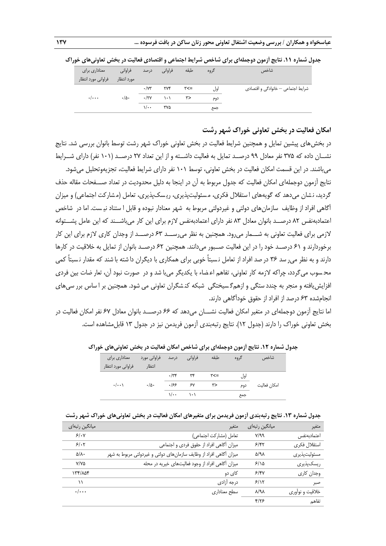| معناداری برای             | فراواني          | ً فراوانی درصد             |                         | طبقه       | گروه | 'شاخص                              |
|---------------------------|------------------|----------------------------|-------------------------|------------|------|------------------------------------|
| فراوانی مورد انتظار       | مورد انتظار      |                            |                         |            |      |                                    |
|                           |                  | $\cdot$ /Y۳                | ۲۷۴                     | ーンツ        | اول  | شرایط اجتماعی — خانوادگی و اقتصادی |
| $\cdot$ / $\cdot$ $\cdot$ | $\cdot/\Delta$ . |                            | $\cdot$ /۲۷ ) $\cdot$ ) | $\uparrow$ | دوم  |                                    |
|                           |                  | $\sqrt{\cdot \cdot \cdot}$ | ۳۷۵                     |            | جمع  |                                    |

**جدول شماره .11 نتایج آزمون دوجملهای برای شاخص شرایط اجتماعی و اقتصادی فعالیت در بخش تعاونیهای خوراک**

## **امکان فعالیت در بخش تعاونی خوراک شهر رشت**

در بخشهای پیشین تمایل و همچنین شرایط فعالیت در بخش تعاونی خوراک شهر رشت توسط بانوان بررسی شد. نتایج نشــان داده که 375 نفر معادل 99 درصــد تمایل به فعالیت داشــته و از این تعداد 27 درصــد )101 نفر( دارای شــرایط

میباشند. در این قسمت امکان فعالیت در بخش تعاونی، توسط 101 نفر دارای شرایط فعالیت، تجزیهوتحلیل میشود. نتایج آزمون دوجملهای امکان فعالیت که جدول مربوط به آن در اینجا به دلیل محدودیت در تعداد صـــفحات مقاله حذف گردید، ن شان می دهد که گویههای ا ستقلال فکری، مسئولیتپذیری، ریسکپذیری، تعامل (مشارکت اجتماعی) و میزان آگاهی افراد از وظایف سازمانهای دولتی و غیردولتی مربوط به شهر معنادار نبوده و قابل ا ستناد نی ست. اما در شاخص اعتمادبهنفس 82 درصــد بانوان معادل 83 نفر دارای اعتمادبهنفس الزم برای این کار میباشــند که این عامل پشــتوانه الزمی برای فعالیت تعاونی به شـــمار میرود. همچنین به نظر میرســـد 63 درصـــد از وجدان کاری الزم برای این کار برخوردارند و 61 درصــد خود را در این فعالیت صــبور میدانند. همچنین 62 درصــد بانوان از تمایل به خالقیت در کارها دارند و به نظر میر سد 36 در صد افراد از تعامل ن سبتاً خوبی برای همکاری با دیگران دا شته با شند که مقدار ن سبتاً کمی مح سوب میگردد، چراکه الزمه کار تعاونی، تفاهم اع ضاء با یکدیگر میبا شد و در صورت نبود آن، تعار ضات بین فردی افزایشیافته و منجر به چندد ستگی و ازهمگ سیختگی شبکه کن شگران تعاونی می شود. همچنین بر ا ساس برر سیهای انجامشده 63 درصد از افراد از حقوق خودآگاهی دارند.

اما نتایج آزمون دوجملهای در متغیر امکان فعالیت نشـــان میدهد که 66 درصـــد بانوان معادل 67 نفر امکان فعالیت در بخش تعاونی خوراک را دارند )جدول 12(. نتایج رتبهبندی آزمون فریدمن نیز در جدول 13 قابلمشاهده است.

| معناداري براي<br>فراواني مورد انتظار | ' فراوانی مورد<br>انتظار | در صد               | فراواني | طبقه | گروه | شاخص         |
|--------------------------------------|--------------------------|---------------------|---------|------|------|--------------|
|                                      |                          | .77                 | ٣۴      | ۳<=  | اول  |              |
| $\cdot/\cdot\cdot$                   | $\cdot/\Delta$ .         | ۱۶۶                 | ۶٧      | ٣>   | دوم  | امكان فعاليت |
|                                      |                          | $\sqrt{}$ $\sqrt{}$ |         |      | جمع  |              |

**جدول شماره .12 نتایج آزمون دوجملهای برای شاخص امکان فعالیت در بخش تعاونیهای خوراک** 

|  | جدول شماره ۱۳. نتایج رتبهبندی آزمون فریدمن برای متغیرهای امکان فعالیت در بخش تعاونیهای خوراک شهر رشت |  |
|--|------------------------------------------------------------------------------------------------------|--|

| ميانگين رتبهاي     | متغير                                                              | میانگین رتبهای         | متغير           |
|--------------------|--------------------------------------------------------------------|------------------------|-----------------|
| 5/14               | تعامل (مشاركت اجتماعي)                                             | V/T                    | اعتمادبهنفس     |
| 5/17               | میزان آگاهی افراد از حقوق فردی و اجتماعی                           | ۶/۴۲                   | استقلال فكرى    |
| $\Delta/\Lambda$   | میزان آگاهی افراد از وظایف سازمانهای دولتی و غیردولتی مربوط به شهر | $\Delta$ /9 $\lambda$  | مسئوليت پذيرى   |
| Y/YQ               | میزان آگاهی افراد از وجود فعالیتهای خیریه در محله                  | 5/10                   | ریسک پذیری      |
| ۱۳۴/۸۵۴            | کای دو                                                             | $5/\sqrt{Y}$           | وجدان كارى      |
| ۱۱                 | درجه آزادى                                                         | 5/17                   | صبر             |
| $\cdot/\cdot\cdot$ | سطح معناداري                                                       | $\lambda$ /۹ $\lambda$ | خلاقيت و نوأوري |
|                    |                                                                    | $Y/Y$ ۶                | تفاهم           |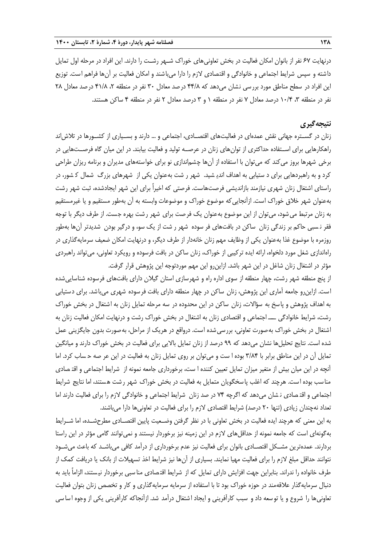درنهایت 67 نفر از بانوان امکان فعالیت در بخش تعاونیهای خوراک شـهر رشـت را دارند. این افراد در مرحله اول تمایل داشته و سپس شرایط اجتماعی و خانوادگی و اقتصادی الزم را دارا میباشند و امکان فعالیت بر آنها فراهم است. توزیع این افراد در سطح مناطق مورد بررسی نشان میدهد که ۴۴/۸ درصد معادل ۳۰ نفر در منطقه ۲، ۴۱/۸ درصد معادل ۲۸ نفر در منطقه ،3 10/4 درصد معادل 7 نفر در منطقه 1 و 3 درصد معادل 2 نفر در منطقه 4 ساکن هستند.

## **نتیجهگیری**

زنان در گســتره جهانی نقش عمدهای در فعالیتهای اقتصــادی، اجتماعی و ... دارند و بســیاری از کشــورها در تالشاند راهکارهایی برای اســتفاده حداکثری از توانهای زنان در عرصــه تولید و فعالیت بیابند. در این میان گاه فرصــتهایی در برخی شهرها بروز میکند که میتوان با استفاده از آنها چشماندازی نو برای خواستههای مدیران و برنامه ریزان طراحی کرد و به راهبردهایی برای د ستیابی به اهداف اندی شید. شهر ر شت بهعنوان یکی از شهرهای بزرگ شمال ک شور، در راستای اشتغال زنان شهری نیازمند بازاندیشی فرصتهاست. فرصتی که اخیراً برای این شهر ایجادشده، ثبت شهر رشت بهعنوان شهر خالق خوراک است. ازآنجاییکه موضوع خوراک و موضوعات وابسته به آن بهطور مستقیم و یا غیرمستقیم به زنان مرتبط میشود، میتوان از این موضوع بهعنوان یک فرصت برای شهر رشت بهره جست. از طرف دیگر با توجه فقر ن سبی حاکم بر زندگی زنان ساکن در بافتهای فر سوده شهر ر شت از یک سو، و درگیر بودن شدیدتر آنها بهطور روزمره با موضوع غذا بهعنوان یکی از وظایف مهم زنان خانهدار از طرف دیگر، و درنهایت امکان ضعیف سرمایهگذاری در راهاندازی شغل مورد دلخواه، ارائه ایده ترکیبی از خوراک، زنان ساکن در بافت فرسوده و رویکرد تعاونی، میتواند راهبردی مؤثر در اشتغال زنان شاغل در این شهر باشد. ازاینرو این مهم موردتوجه این پژوهش قرار گرفت.

از پنج منطقه شهر رشت، چهار منطقه از سوی اداره راه و شهرسازی استان گیالن دارای بافتهای فرسوده شناساییشده است. ازاینرو جامعه آماری این پژوهش، زنان ساکن در چهار منطقه دارای بافت فرسوده شهری میباشد. برای دستیابی به اهداف پژوهش و پاسخ به سؤالات، زنان ساکن در این محدوده در سه مرحله تمایل زنان به اشتغال در بخش خوراک رشت، شرایط خانوادگی ـــ اجتماعی و اقتصادی زنان به اشتغال در بخش خوراک رشت و درنهایت امکان فعالیت زنان به اشتغال در بخش خوراک بهصورت تعاونی، بررسیشده است. درواقع در هریک از مراحل، بهصورت بدون جایگزینی عمل شده است. نتایج تحلیلها نشان میدهد که 99 درصد از زنان تمایل باالیی برای فعالیت در بخش خوراک دارند و میانگین تمایل آن در این مناطق برابر با 3/84 بوده ا ست و میتوان بر روی تمایل زنان به فعالیت در این عر صه ح ساب کرد. اما آنچه در این میان بیش از متغیر میزان تمایل تعیین کننده ا ست، برخورداری جامعه نمونه از شرایط اجتماعی و اقت صادی مناسب بوده است. هرچند که اغلب پاسخگویان متمایل به فعالیت در بخش خوراک شهر رشت هستند، اما نتایج شرایط اجتماعی و اقت صادی ن شان میدهد که اگرچه 74 در صد زنان شرایط اجتماعی و خانوادگی الزم را برای فعالیت دارند اما تعداد نهچندان زیادی (تنها ۲۰ درصد) شرایط اقتصادی لازم را برای فعالیت در تعاونیها دارا میباشند.

به این معنی که هرچند ایده فعالیت در بخش تعاونی با در نظر گرفتن وضــعیت پایین اقتصــادی مطرحشــده، اما شــرایط بهگونهای است که جامعه نمونه از حداقلهای الزم در این زمینه نیز برخوردار نیستند و نمیتوانند گامی مؤثر در این راستا بردارند. عمدهترین مشـکل اقتصـادی بانوان برای فعالیت نیز عدم برخورداری از درآمد کافی میباشـد که باعث میشـود نتوانند حداقل مبلغ الزم را برای فعالیت مهیا نمایند. بسیاری از آنها نیز شرایط اخذ تسهیالت از بانک یا دریافت کمک از طرف خانواده را ندراند. بنابراین جهت افزایش دارای تمایل که از شرایط اقت صادی منا سبی برخوردار نی ستند، الزاماً باید به دنبال سرمایهگذار عالقهمند در حوزه خوراک بود تا با استفاده از سرمایه سرمایهگذاری و کار و تخصص زنان بتوان فعالیت تعاونیها را شروع و یا توسعه داد و سبب کارآفرینی و ایجاد اشتغال درآمد شد. ازآنجاکه کارآفرینی یکی از وجوه اسا سی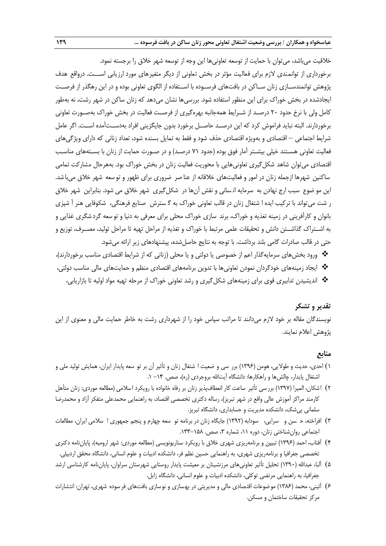خالقیت میباشد، میتوان با حمایت از توسعه تعاونیها این وجه از توسعه شهر خالق را برجسته نمود. برخورداری از توانمندی الزم برای فعالیت مؤثر در بخش تعاونی از دیگر متغیرهای مورد ارزیابی اســـت. درواقع هدف پژوهش توانمندســازی زنان ســاکن در بافتهای فرســوده با اســتفاده از الگوی تعاونی بوده و در این رهگذر از فرصــت ایجادشده در بخش خوراک برای این منظور استفاده شود. بررسیها نشان میدهد که زنان ساکن در شهر رشت، نه بهطور کامل ولی با نرخ حدود 20 درصـد از شـرایط همهجانبه بهرهگیری از فرصـت فعالیت در بخش خوراک بهصـورت تعاونی برخوردارند. البته نباید فراموش کرد که این درصــد حاصــل برخورد بدون جایگزینی افراد بهدســتآمده اســت. اگر عامل شرایط اجتماعی – اقتصادی و بهویژه اقتصادی حذف شود و فقط به تمایل بسنده شود، تعداد زنانی که دارای ویژگیهای فعالیت تعاونی هسـتند خیلی بیشـتر آمار فوق بوده (حدود ۷۱ درصـد) و در صـورت حمایت از زنان با بسـتههای مناسـب اقتصادی میتوان شاهد شکلگیری تعاونیهایی با محوریت فعالیت زنان در بخش خوراک بود. بههرحال مشارکت تمامی ساکنین شهرها ازجمله زنان در امور و فعالیتهای خالقانه از عنا صر ضروری برای ظهور و تو سعه شهر خالق میبا شد. این مو ضوع سبب ارج نهادن به سرمایه انسانی و نقش آنها در شکل گیری شهر خلاق می شود. بنابراین شهر خلاق ر شت میتواند با ترکیب ایده ا شتغال زنان در قالب تعاونی خوراک به گ سترش صنایع فرهنگی، شکوفایی هنر آ شپزی بانوان و کارآفرینی در زمینه تغذیه و خوراک، برند سازی خوراک محلی برای معرفی به دنیا و تو سعه گرد شگری غذایی و به اشــتراک گذاشــتن دانش و تحقیقات علمی مرتبط با خوراک و تغذیه از مراحل تهیه تا مراحل تولید، مصــرف، توزیع و حتی در قالب صادرات گامی بلند برداشت. با توجه به نتایج حاصلشده، پیشنهادهای زیر ارائه میشود.

• ورود بخشهای سرمایهگذار اعم از خصوصی یا دولتی و یا محلی (زنانی که از شرایط اقتصادی مناسب برخوردارند)، ایجاد زمینههای خودگردان نمودن تعاونیها با تدوین برنامههای اقتصادی منظم و حمایتهای مالی مناسب دولتی، اندیشیدن تدابیری قوی برای زمینههای شکلگیری و رشد تعاونی خوراک از مرحله تهیه مواد اولیه تا بازاریابی،

## **تقدیر و تشکر**

نویسندگان مقاله بر خود الزم میدانند تا مراتب سپاس خود را از شهرداری رشت به خاطر حمایت مالی و معنوی از این پژوهش اعالم نمایند.

#### **منابع**

- ١) احدی، حدیث و طولایی، هومن (١٣٩۶) برر سی و ضعیت ا شتغال زنان و تأثیر آن بر تو سعه پایدار ایران، همایش تولید ملی و اشتغال پایدار، چالش ها و راهکارها: دانشگاه آیتالله بروجردی (ره)، صص. ۱۴– ۱.
- 2( اشکان، المیرا )1397( بررسی تأثیر ساعت کار انعطافپذیر زنان بر رفاه خانواده با رویکرد اسالمی )مطالعه موردی: زنان متأهل کارمند مراکز آموزش عالی واقع در شهر تبریز(، رساله دکتری تخصصی اقتصاد، به راهنمایی محمدعلی متفکر آزاد و محمدرضا سلمانی بیشک، دانشکده مدیریت و حسابداری، دانشگاه تبریز.
- ۳) افراخته، حــسن و سرایی، سودابه (۱۳۹۲) جایگاه زنان در برنامه تو سعه چهارم و پنجم جمهوری ا سلامی ایران، مطالعات اجتماعی روانشناختی زنان، دوره ۱۱، شماره ۳، صص. ۱۵۸–۱۳۳.
- ۴) آفتاب، احمد (۱۳۹۶) تبیین و برنامهریزی شهری خلاق با رویکرد سناریونویسی (مطالعه موردی: شهر ارومیه)، پایاننامه دکتری تخصصی جغرافیا و برنامهریزی شهری، به راهنمایی حسین نظم فر، دانشکده ادبیات و علوم انسانی، دانشگاه محقق اردبیلی.
- ۵) آلبا، عبدالله (۱۳۹۰) تحلیل تأثیر تعاونیهای مرزنشینان بر معیشت پایدار روستایی شهرستان سراوان، پایاننامه کارشناسی ارشد جغرافیا، به راهنمایی مرتضی توکلی، دانشکده ادبیات و علوم انسانی، دانشگاه زابل.
- 6( آئینی، محمد )1386( موضوعات اقتصادی مالی و مدیریتی در بهسازی و نوسازی بافتهای فرسوده شهری، تهران: انتشارات مرکز تحقیقات ساختمان و مسکن.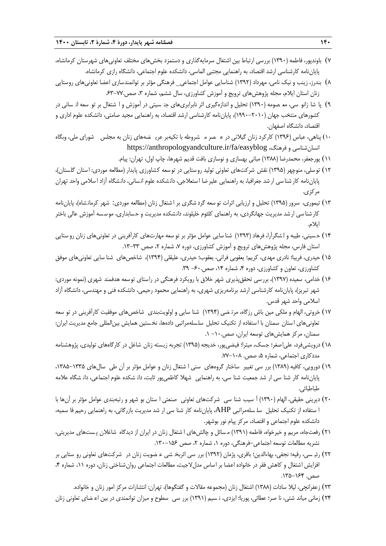- 7( باوندپور، فاطمه )1390( بررسی ارتباط بین اشتغال سرمایهگذاری و دستمزد بخشهای مختلف تعاونیهای شهرستان کرمانشاه، پایاننامه کارشناسی ارشد اقتصاد، به راهنمایی مجتبی الماسی، دانشکده علوم اجتماعی، دانشگاه رازی کرمانشاه.
- 8( بندرز، زینب و نیک نامی، مهرداد )1392( شناسایی عوامل اجتماعی\_ فرهنگی مؤثر بر توانمندسازی اعضا تعاونیهای روستایی زنان استان ایلام، مجله پژوهشهای ترویج و آموزش کشاورزی، سال ششم، شماره ۳، صص.۷۷-۶۳
- ۹) پا شا زانو سی، مع صومه (۱۳۹۰) تحلیل و اندازهگیری اثر نابرابریهای جن سیتی در آموزش و ا شتغال بر تو سعه ان سانی در کشورهای منتخب جهان )1990-2010(، پایاننامه کارشناسی ارشد اقتصاد، به راهنمایی مجید صامتی، دانشکده علوم اداری و اقتصاد، دانشگاه اصفهان.
- ۱۰) پناهی، عباس (۱۳۹۶) کارکرد زنان گیلانی در عــصر مــشروطه با تکیهبر عریــضههای زنان به مجلس ــشورای ملی، وبگاه https://anthropologyandculture.ir/fa/easyblog ،فرهنگ و انسانشناسی
	- 11( پورجعفر، محمدرضا )1388( مبانی بهسازی و نوسازی بافت قدیم شهرها، چاپ اول، تهران: پیام.
- ۱۲) توسلی، منوچهر (۱۳۹۵) نقش شرکتهای تعاونی تولید روستایی در توسعه کشاورزی پایدار (مطالعه موردی: استان گلستان)، پایاننامه کار شنا سی ار شد جغرافیا، به راهنمایی علیر ضا ا ستعلاجی، دانشکده علوم انسانی، دانشگاه آزاد ا سلامی واحد تهران مرکزی.
- ۱۳) تیموری، سرور (۱۳۹۵) تحلیل و ارزیابی اثرات تو سعه گرد شگری بر ا شتغال زنان (مطالعه موردی: شهر کرمانشاه)، پایاننامه کار شنا سی ارشد مدیریت جهانگردی، به راهنمای کلثوم خلیلوند، دانشکده مدیریت و حسابداری، مو سسه آموزش عالی باختر ایالم.
- ۱۴) حسینی، طیبه و لشگرآرا، فرهاد (۱۳۹۳) شنا سایی عوامل مؤثر بر تو سعه مهارتهای کارآفرینی در تعاونیهای زنان رو ستایی استان فارس، مجله پژوهشهای ترویج و آموزش کشاورزی، دوره ۷، شماره ۲، صص ۳۳-۱۳.
- 15( حیدری، فریبا؛ نادری مهدی، کریم؛ یعقوبی فرانی، یعقوب؛ حیدری، علیقلی )1394(، شاخصهای شنا سایی تعاونیهای موفق کشاورزی، تعاون و کشاورزی، دوره ۴، شماره ۱۴، صص۶۰۰– ۳۹.
- ۱۶) خدامی، سعیده (۱۳۹۷)، بررسی تحققپذیری شهر خلاق با رویکرد فرهنگی در راستای توسعه هدفمند شهری (نمونه موردی: شهر تبریز(، پایاننامه کارشناسی ارشد برنامهریزی شهری، به راهنمایی محمود رحیمی، دانشکده فنی و مهندسی، دانشگاه آزاد اسالمی واحد شهر قدس.
- 17( خروتی، الهام و ملکی مین باش رزگاه، مرت ضی )1394( شنا سایی و اولویتبندی شاخصهای موفقیت کارآفرینی در تو سعه تعاونیهای ا ستان سمنان با استفاده از تکنیک تحلیل سلسلهمراتبی دادهها، نخستین همایش بینالمللی جامع مدیریت ایران: سمنان، مرکز همایشهای توسعه ایران، صص-10. .1
- 18( درویشیفرد، علیاصغر؛ جسک، میترا؛ فیضیپور، خدیجه )1395( تجربه زیسته زنان شاغل در کارگاههای تولیدی، پژوهشنامه مددکاری اجتماعی، شماره ۵، صص. ۰۸-۷۷-
- ۱۹) دورویی، کافیه (۱۳۸۹) برر سی تغییر ساختار گروههای سنی ا شتغال زنان و عوامل مؤثر بر آن طی سالهای ۱۳۳۵–۱۳۸۵، پایاننامه کار شنا سی ار شد جمعیت شنا سی، به راهنمایی شهال کاظمیپور ثابت، دان شکده علوم اجتماعی، دان شگاه عالمه طباطبائی.
- ۲۰) دیرینی حقیقی، الهام (۱۳۹۰) آ سیب شنا سی شرکتهای تعاونی صنعتی ا ستان بو شهر و رتبهبندی عوامل مؤثر بر آنها با ا ستفاده از تکنیک تحلیل سل سلهمراتبی AHP، پایاننامه کار شنا سی ار شد مدیریت بازرگانی، به راهنمایی رحیم قا سمیه، دانشکده علوم اجتماعی و اقتصاد، مرکز پیام نور بوشهر.
- 21( رفعتجاه، مریم و خیرخواه، فاطمه )1391( م سائل و چالشهای ا شتغال زنان در ایران از دیدگاه شاغالن پ ستهای مدیریتی، نشریه مطالعات توسعه اجتماعی-فرهنگی، دوره ۱، شماره ۲، صص ۱۵۶–۱۳۰.
- ٢٢) رئی سی، رقیه؛ نجفی، بهاءالدین؛ باقری، پژمان (١٣٩٢) برر سی اثربخ شی ء ضویت زنان در شرکتهای تعاونی رو ستایی بر افزایش اشتغال و کاهش فقر در خانواده اعضا بر اساس مدل لاجیت، مطالعات اجتماعی روان شناختی زنان، دوره ۱۱، شماره ۴، صص. ۱۶۴–۱۳۵.
	- ٢٢) زعفرانچی، لیلا سادات (١٣٨٨) اشتغال زنان (مجموعه مقالات و گفتگوها)، تهران: انتشارات مرکز امور زنان و خانواده.
- 24( زمانی میاند شتی، نا صر؛ عطائی، پوریا؛ ایزدی، ن سیم )1391( برر سی سطوح و میزان توانمندی در بین اع ضای تعاونی زنان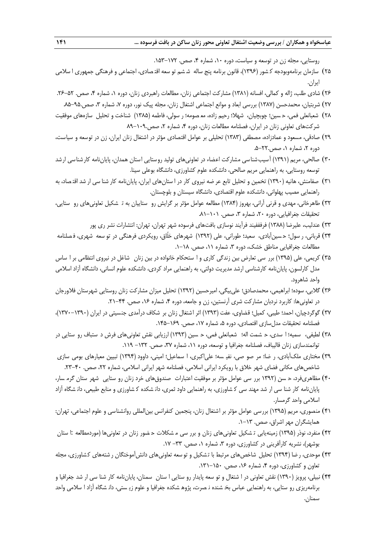روستایی، مجله زن در توسعه و سیاست، دوره ١٠، شماره ۴، صص. ١٧٢-١٥٣.

- ۲۵) سازمان برنامهوبودجه کـشور (۱۳۹۶)، قانون برنامه پنج ساله شـشم تو سعه اقتـصادی، اجتماعی و فرهنگی جمهوری ا سلامی ایران.
- ۲۶) شادی طلب، ژاله و کمالی، افسانه (۱۳۸۱) مشارکت اجتماعی زنان، مطالعات راهبردی زنان، دوره ۱، شماره ۴، صص. ۵۲-۲۶.
- 27( شربتیان، محمدحسن )1387( بررسی ابعاد و موانع اجتماعی اشتغال زنان، مجله پیک نور، دوره ،7 شماره ،3 صص.85-95.
- 28( شعبانعلی فمی، ح سین؛ چوبچیان، شهال؛ رحیم زاده، مع صومه؛ ر سولی، فاطمه )1385( شناخت و تحلیل سازههای موفقیت شرکتهای تعاونی زنان در ایران، فصلنامه مطالعات زنان، دوره ۴، شماره ۲، صص۱۰۹-۸۹
- 29( صادقی، مسعود و عمادزاده، مصطفی )1383( تحلیلی بر عوامل اقتصادی مؤثر در اشتغال زنان ایران، زن در توسعه و سیاست، دوره ۲، شماره ۱، صص۲۲۰-۵.
- ۳۰) صالحی، مریم (۱۳۹۱) آسیب شناسی مشارکت اعضاء در تعاونیهای تولید روستایی استان همدان، پایاننامه کارشناسی ارشد توسعه روستایی، به راهنمایی مریم صالحی، دانشکده علوم کشاورزی، دانشگاه بوعلی سینا.
- ۳۱) صفامنش، هانیه (۱۳۹۰) تخمین و تحلیل تابع عر ضه نیروی کار در ا ستانهای ایران، پایاننامه کار شنا سی ار شد اقتصاد، به راهنمایی مصیب پهلوانی، دانشکده علوم اقتصادی، دانشگاه سیستان و بلوچستان.
- ۳۲) طاهرخانی، مهدی و قرنی آرانی، بهروز (۱۳۸۴) مطالعه عوامل مؤثر بر گرایش رو ستاییان به تـ شکیل تعاونیهای رو ستایی، تحقیقات جغرافیایی، دوره ۲۰، شماره ۳، صص. ۰۱-۸۱.
	- ۳۳) عندلیب، علیرضا (۱۳۸۸) فرفففیند فرآیند نوسازی بافتهای فرسوده شهر تهران، تهران: انتشارات نشر ری پور
- 34( قربانی، ر سول؛ ح سینآبادی، سعید؛ طورانی، علی )1392( شهرهای خلّاق، رویکردی فرهنگی در تو سعه شهری، ف صلنامه مطالعات جغرافیایی مناطق خشک، دوره ۳، شماره ۱۱، صص. ۱۸–۱.
- ۳۵) کریمی، علی (۱۳۹۵) برر سی تعارض بین زندگی کاری و ا ستحکام خانواده در بین زنان شاغل در نیروی انتظامی بر ا ساس مدل کارلسون، پایاننامه کارشناسی ارشد مدیریت دولتی، به راهنمایی مراد کردی، دانشکده علوم انسانی، دانشگاه آزاد اسالمی واحد شاهرود.
- ۳۶) گلابی، سوده؛ ابراهیمی، محمدصادق؛ علیبیگی، امیرحسین (۱۳۹۲) تحلیل میزان مشارکت زنان روستایی شهرستان فلاورجان در تعاونیها: کاربرد نردبان مشارکت شری آرنستین، زن و جامعه، دوره ۴، شماره ۱۶، صص. ۴۴–۲۱.
- 37( گوگردچیان، احمد؛ طیبی، کمیل؛ قضاوی، عفت )1393( اثر اشتغال زنان بر شکاف درآمدی جنسیتی در ایران )1370-1390(، فصلنامه تحقیقات مدلسازی اقتصادی، دوره ۵، شماره ۱۷، صص. ۱۶۹–۱۴۵.
- ۳۸) لطیفی، سمیه؛ ا سدی، ح شمت اله؛ شعبانعلی فمی، ح سین (۱۳۹۳) ارزیابی نقش تعاونیهای فرش د ستباف رو ستایی در توانمندسازی زنان قالیباف، فصلنامه جغرافیا و توسعه، دوره ۱۱، شماره ۳۷، صص. ۱۳۲– ۱۱۹.
- ٣٩) مختاری ملکآبادی، ر ضا؛ مر صو صی، نفیـ سه؛ علی|کبری، ا سماعیل؛ امینی، داوود (١٣٩۴) تبیین معیارهای بومی سازی شاخصهای مکانی فضای شهر خالق با رویکرد ایرانی اسالمی، فصلنامه شهر ایرانی اسالمی، شماره ،22 صص. .23-40
- ۴۰) مظاهریفرد، ح سن (۱۳۹۲ برر سی عوامل مؤثر بر موفقیت اعتبارات صندوقهای خرد زنان رو ستایی شهر ستان گرم سار، پایاننامه کار شنا سی ار شد مهند سی ک شاورزی، به راهنمایی داود ثمری، دان شکده ک شاورزی و منابع طبیعی، دان شگاه آزاد اسالمی واحد گرمسار.
- 41( منصوری، مریم )1395( بررسی عوامل مؤثر بر اشتغال زنان، پنجمین کنفرانس بینالمللی روانشناسی و علوم اجتماعی، تهران: همایشگران مهر اشراق، صص. ۱۳-۱.
- ۴۲) منفرد، نوذر (۱۳۹۵) زمینهیابی تـشکیل تعاونیهای زنان و برر سی مـشکلات حـضور زنان در تعاونیها (موردمطالعه :ا ستان بوشهر)، نشریه کارآفرینی در کشاورزی، دوره ۳، شماره ۱، صص. ۳۳- ۱۷.
- ۴۳) موحدی، ر ضا (۱۳۹۴) تحلیل شاخصهای مرتبط با تشکیل و تو سعه تعاونیهای دانشآموختگان ر شتههای کشاورزی، مجله تعاون و کشاورزی، دوره ۴، شماره ۱۶، صص. ۱۵۰-۱۳۱.
- ۴۴) نبیلی، پرویز (۱۳۹۰) نقش تعاونی در ا شتغال و تو سعه پایدار رو ستایی ا ستان سمنان، پایاننامه کار شنا سی ار شد جغرافیا و برنامهریزی رو ستایی، به راهنمایی عباس بخ شنده ن صرت، پژوه شکده جغرافیا و علوم زی ستی، دان شگاه آزاد ا سالمی واحد سمنان.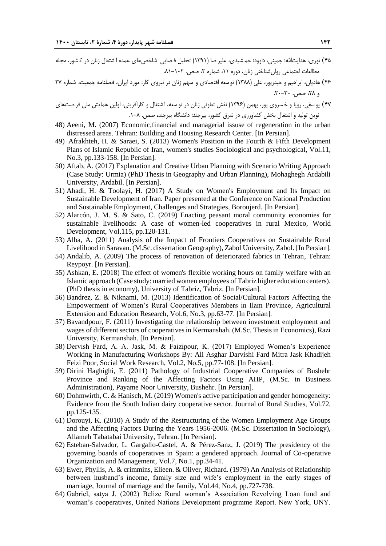- ۴۵) نوری، هدایتالله؛ جمینی، داوود؛ جم شیدی، علیر ضا (۱۳۹۱) تحلیل فضایی شاخص های عمده ا شتغال زنان در ک شور، مجله مطالعات اجتماعی روانشناختی زنان، دوره ۱۱، شماره ۳، صص. ۱۰۲-۸۱.
- 46( هادیان، ابراهیم و حیدرپور، علی )1388( توسعه اقتصادی و سهم زنان در نیروی کار: مورد ایران، فصلنامه جمعیت، شماره 27  $\mathcal{X} \cdot \mathcal{Y} \cdot \mathcal{Y} \cdot \mathcal{Y} \sim \mathcal{X}$
- ۴۷) یو سفی، رویا و خسروی پور، بهمن (۱۳۹۶) نقش تعاونی زنان در تو سعه، ا شتغال و کارآفرینی، اولین همایش ملی فر صتهای نوین تولید و اشتغال بخش کشاورزی در شرق کشور، بیرجند: دانشگاه بیرجند، صص. .1-8
- 48) Aeeni, M. (2007) Economic,financial and managerial issuse of regeneration in the urban distressed areas. Tehran: Building and Housing Research Center. [In Persian].
- 49) Afrakhteh, H. & Saraei, S. (2013) Women's Position in the Fourth & Fifth Development Plans of Islamic Republic of Iran, women's studies Sociological and psychological, Vol.11, No.3, pp.133-158. [In Persian].
- 50) Aftab, A. (2017) Explanation and Creative Urban Planning with Scenario Writing Approach (Case Study: Urmia) (PhD Thesis in Geography and Urban Planning), Mohaghegh Ardabili University, Ardabil. [In Persian].
- 51) Ahadi, H. & Toolayi, H. (2017) A Study on Women's Employment and Its Impact on Sustainable Development of Iran. Paper presented at the Conference on National Production and Sustainable Employment, Challenges and Strategies, Boroujerd. [In Persian].
- 52) Alarcón, J. M. S. & Sato, C. (2019) Enacting peasant moral community economies for sustainable livelihoods: A case of women-led cooperatives in rural Mexico, World Development, Vol.115, pp.120-131.
- 53) Alba, A. (2011) Analysis of the Impact of Frontiers Cooperatives on Sustainable Rural Livelihood in Saravan. (M.Sc. dissertation Geography), Zabol University, Zabol. [In Persian].
- 54) Andalib, A. (2009) The process of renovation of deteriorated fabrics in Tehran, Tehran: Reypoyr. [In Persian].
- 55) Ashkan, E. (2018) The effect of women's flexible working hours on family welfare with an Islamic approach (Case study: married women employees of Tabriz higher education centers). (PhD thesis in economy), University of Tabriz, Tabriz. [In Persian].
- 56) Bandrez, Z. & Niknami, M. (2013) Identification of Social/Cultural Factors Affecting the Empowerment of Women's Rural Cooperatives Members in Ilam Province, Agricultural Extension and Education Research, Vol.6, No.3, pp.63-77. [In Persian].
- 57) Bavandpour, F. (2011) Investigating the relationship between investment employment and wages of different sectors of cooperatives in Kermanshah. (M.Sc. Thesis in Economics), Razi University, Kermanshah. [In Persian].
- 58) Dervish Fard, A. A. Jask, M. & Faizipour, K. (2017) Employed Women's Experience Working in Manufacturing Workshops By: Ali Asghar Darvishi Fard Mitra Jask Khadijeh Feizi Poor, Social Work Research, Vol.2, No.5, pp.77-108. [In Persian].
- 59) Dirini Haghighi, E. (2011) Pathology of Industrial Cooperative Companies of Bushehr Province and Ranking of the Affecting Factors Using AHP, (M.Sc. in Business Administration), Payame Noor University, Bushehr. [In Persian].
- 60) Dohmwirth, C. & Hanisch, M. (2019) Women's active participation and gender homogeneity: Evidence from the South Indian dairy cooperative sector. Journal of Rural Studies, Vol.72, pp.125-135.
- 61) Dorouyi, K. (2010) A Study of the Restructuring of the Women Employment Age Groups and the Affecting Factors During the Years 1956-2006. (M.Sc. Dissertation in Sociology), Allameh Tabatabai University, Tehran. [In Persian].
- 62) Esteban-Salvador, L. Gargallo-Castel, A. & Pérez-Sanz, J. (2019) The presidency of the governing boards of cooperatives in Spain: a gendered approach. Journal of Co-operative Organization and Management, Vol.7, No.1, pp.34-41.
- 63) Ewer, Phyllis, A. & crimmins, Elieen. & Oliver, Richard. (1979) An Analysis of Relationship between husband's income, family size and wife's employment in the early stages of marriage, Journal of marriage and the family, Vol.44, No.4, pp.727-738.
- 64) Gabriel, satya J. (2002) Belize Rural woman's Association Revolving Loan fund and woman's cooperatives, United Nations Development progrmme Report. New York, UNY.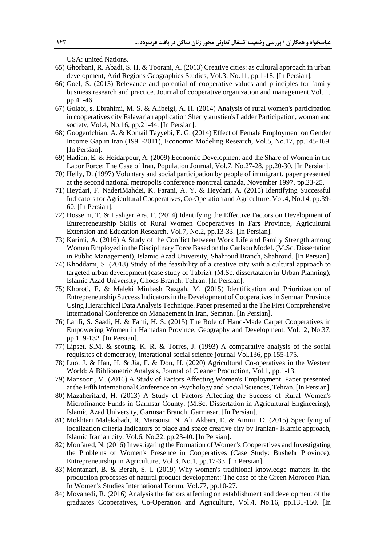USA: united Nations.

- 65) Ghorbani, R. Abadi, S. H. & Toorani, A. (2013) Creative cities: as cultural approach in urban development, Arid Regions Geographics Studies, Vol.3, No.11, pp.1-18. [In Persian].
- 66) Goel, S. (2013) Relevance and potential of cooperative values and principles for family business research and practice. Journal of cooperative organization and management.Vol. 1, pp 41-46.
- 67) Golabi, s. Ebrahimi, M. S. & Alibeigi, A. H. (2014) Analysis of rural women's participation in cooperatives city Falavarjan application Sherry arnstien's Ladder Participation, woman and society, Vol.4, No.16, pp.21-44. [In Persian].
- 68) Googerdchian, A. & Komail Tayyebi, E. G. (2014) Effect of Female Employment on Gender Income Gap in Iran (1991-2011), Economic Modeling Research, Vol.5, No.17, pp.145-169. [In Persian].
- 69) Hadian, E. & Heidarpour, A. (2009) Economic Development and the Share of Women in the Labor Force: The Case of Iran, Population Journal, Vol.7, No.27-28, pp.20-30. [In Persian].
- 70) Helly, D. (1997) Voluntary and social participation by people of immigrant, paper presented at the second national metropolis conference montreal canada, November 1997, pp.23-25.
- 71) Heydari, F. NaderiMahdei, K. Farani, A. Y. & Heydari, A. (2015) Identifying Successful Indicators for Agricultural Cooperatives, Co-Operation and Agriculture, Vol.4, No.14, pp.39- 60. [In Persian].
- 72) Hosseini, T. & Lashgar Ara, F. (2014) Identifying the Effective Factors on Development of Entrepreneurship Skills of Rural Women Cooperatives in Fars Province, Agricultural Extension and Education Research, Vol.7, No.2, pp.13-33. [In Persian].
- 73) Karimi, A. (2016) A Study of the Conflict between Work Life and Family Strength among Women Employed in the Disciplinary Force Based on the Carlson Model. (M.Sc. Dissertation in Public Management), Islamic Azad University, Shahroud Branch, Shahroud. [In Persian].
- 74) Khoddami, S. (2018) Study of the feasibility of a creative city with a cultural approach to targeted urban development (case study of Tabriz). (M.Sc. dissertataion in Urban Planning), Islamic Azad University, Ghods Branch, Tehran. [In Persian].
- 75) Khoroti, E. & Maleki Minbash Razgah, M. (2015) Identification and Prioritization of Entrepreneurship Success Indicators in the Development of Cooperatives in Semnan Province Using Hierarchical Data Analysis Technique. Paper presented at the The First Comprehensive International Conference on Management in Iran, Semnan. [In Persian].
- 76) Latifi, S. Saadi, H. & Fami, H. S. (2015) The Role of Hand-Made Carpet Cooperatives in Empowering Women in Hamadan Province, Geography and Development, Vol.12, No.37, pp.119-132. [In Persian].
- 77) Lipset, S.M. & seoung. K. R. & Torres, J. (1993) A comparative analysis of the social requisites of democracy, interational social science journal Vol.136, pp.155-175.
- 78) Luo, J. & Han, H. & Jia, F. & Don, H. (2020) Agricultural Co-operatives in the Western World: A Bibliometric Analysis, Journal of Cleaner Production, Vol.1, pp.1-13.
- 79) Mansoori, M. (2016) A Study of Factors Affecting Women's Employment. Paper presented at the Fifth International Conference on Psychology and Social Sciences, Tehran. [In Persian].
- 80) Mazaherifard, H. (2013) A Study of Factors Affecting the Success of Rural Women's Microfinance Funds in Garmsar County. (M.Sc. Dissertation in Agricultural Engineering), Islamic Azad University, Garmsar Branch, Garmasar. [In Persian].
- 81) Mokhtari Malekabadi, R. Marsousi, N. Ali Akbari, E. & Amini, D. (2015) Specifying of localization criteria Indicators of place and space creative city by Iranian- Islamic approach, Islamic Iranian city, Vol.6, No.22, pp.23-40. [In Persian].
- 82) Monfared, N. (2016) Investigating the Formation of Women's Cooperatives and Investigating the Problems of Women's Presence in Cooperatives (Case Study: Bushehr Province), Entrepreneurship in Agriculture, Vol.3, No.1, pp.17-33. [In Persian].
- 83) Montanari, B. & Bergh, S. I. (2019) Why women's traditional knowledge matters in the production processes of natural product development: The case of the Green Morocco Plan. In Women's Studies International Forum, Vol.77, pp.10-27.
- 84) Movahedi, R. (2016) Analysis the factors affecting on establishment and development of the graduates Cooperatives, Co-Operation and Agriculture, Vol.4, No.16, pp.131-150. [In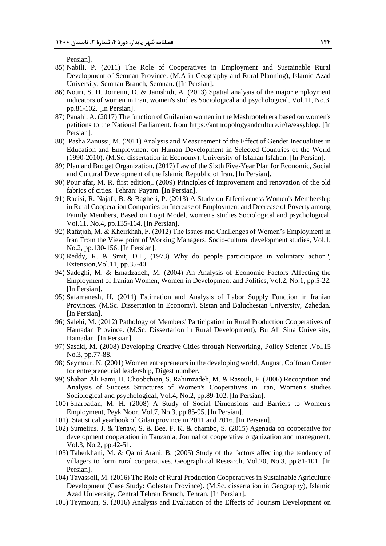Persian].

- 85) Nabili, P. (2011) The Role of Cooperatives in Employment and Sustainable Rural Development of Semnan Province. (M.A in Geography and Rural Planning), Islamic Azad University, Semnan Branch, Semnan. ([In Persian].
- 86) Nouri, S. H. Jomeini, D. & Jamshidi, A. (2013) Spatial analysis of the major employment indicators of women in Iran, women's studies Sociological and psychological, Vol.11, No.3, pp.81-102. [In Persian].
- 87) Panahi, A. (2017) The function of Guilanian women in the Mashrooteh era based on women's petitions to the National Parliament. from https://anthropologyandculture.ir/fa/easyblog. [In Persian].
- 88) Pasha Zanussi, M. (2011) Analysis and Measurement of the Effect of Gender Inequalities in Education and Employment on Human Development in Selected Countries of the World (1990-2010). (M.Sc. dissertation in Economy), University of Isfahan Isfahan. [In Persian].
- 89) Plan and Budget Organization. (2017) Law of the Sixth Five-Year Plan for Economic, Social and Cultural Development of the Islamic Republic of Iran. [In Persian].
- 90) Pourjafar, M. R. first edition,. (2009) Principles of improvement and renovation of the old fabrics of cities. Tehran: Payam. [In Persian].
- 91) Raeisi, R. Najafi, B. & Bagheri, P. (2013) A Study on Effectiveness Women's Membership in Rural Cooperation Companies on Increase of Employment and Decrease of Poverty among Family Members, Based on Logit Model, women's studies Sociological and psychological, Vol.11, No.4, pp.135-164. [In Persian].
- 92) Rafatjah, M. & Kheirkhah, F. (2012) The Issues and Challenges of Women's Employment in Iran From the View point of Working Managers, Socio-cultural development studies, Vol.1, No.2, pp.130-156. [In Persian].
- 93) Reddy, R. & Smit, D.H, (1973) Why do people particicipate in voluntary action?, Extension,Vol.11, pp.35-40.
- 94) Sadeghi, M. & Emadzadeh, M. (2004) An Analysis of Economic Factors Affecting the Employment of Iranian Women, Women in Development and Politics, Vol.2, No.1, pp.5-22. [In Persian].
- 95) Safamanesh, H. (2011) Estimation and Analysis of Labor Supply Function in Iranian Provinces. (M.Sc. Dissertation in Economy), Sistan and Baluchestan University, Zahedan. [In Persian].
- 96) Salehi, M. (2012) Pathology of Members' Participation in Rural Production Cooperatives of Hamadan Province. (M.Sc. Dissertation in Rural Development), Bu Ali Sina University, Hamadan. [In Persian].
- 97) Sasaki, M. (2008) Developing Creative Cities through Networking, Policy Science ,Vol.15 No.3, pp.77-88.
- 98) Seymour, N. (2001) Women entrepreneurs in the developing world, August, Coffman Center for entrepreneurial leadership, Digest number.
- 99) Shaban Ali Fami, H. Choobchian, S. Rahimzadeh, M. & Rasouli, F. (2006) Recognition and Analysis of Success Structures of Women's Cooperatives in Iran, Women's studies Sociological and psychological, Vol.4, No.2, pp.89-102. [In Persian].
- 100) Sharbatian, M. H. (2008) A Study of Social Dimensions and Barriers to Women's Employment, Peyk Noor, Vol.7, No.3, pp.85-95. [In Persian].
- 101) Statistical yearbook of Gilan province in 2011 and 2016. [In Persian].
- 102) Sumelius. J. & Tenaw, S. & Bee, F. K. & chambo, S. (2015) Agenada on cooperative for development cooperation in Tanzania, Journal of cooperative organization and manegment, Vol.3, No.2, pp.42-51.
- 103) Taherkhani, M. & Qarni Arani, B. (2005) Study of the factors affecting the tendency of villagers to form rural cooperatives, Geographical Research, Vol.20, No.3, pp.81-101. [In Persian].
- 104) Tavassoli, M. (2016) The Role of Rural Production Cooperatives in Sustainable Agriculture Development (Case Study: Golestan Province). (M.Sc. dissertation in Geography), Islamic Azad University, Central Tehran Branch, Tehran. [In Persian].
- 105) Teymouri, S. (2016) Analysis and Evaluation of the Effects of Tourism Development on